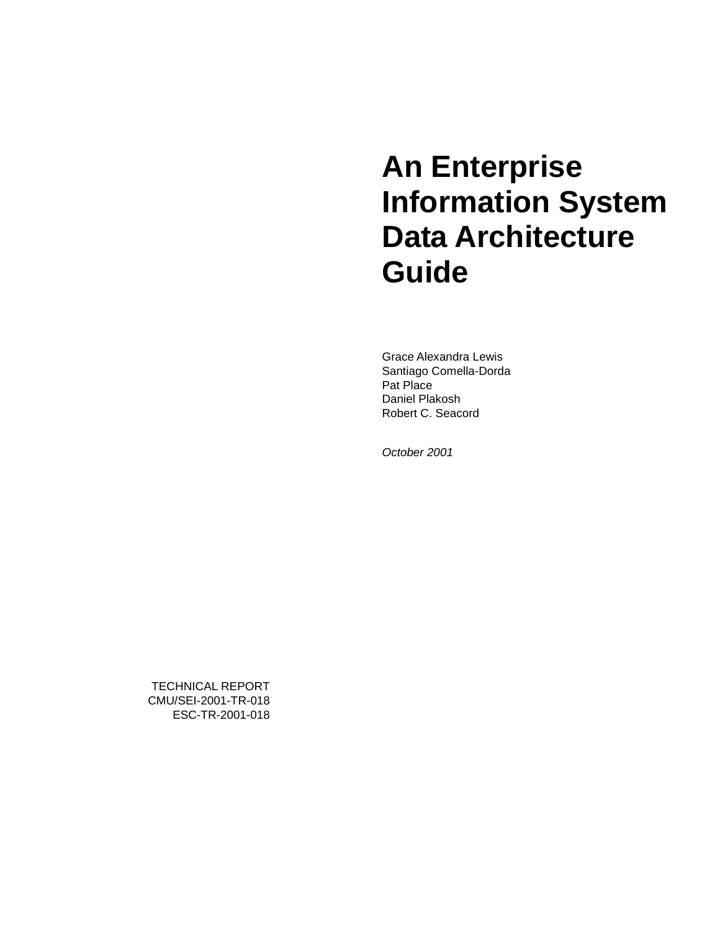# **An Enterprise Information System Data Architecture Guide**

Grace Alexandra Lewis Santiago Comella-Dorda Pat Place Daniel Plakosh Robert C. Seacord

*October 2001* 

TECHNICAL REPORT CMU/SEI-2001-TR-018 ESC-TR-2001-018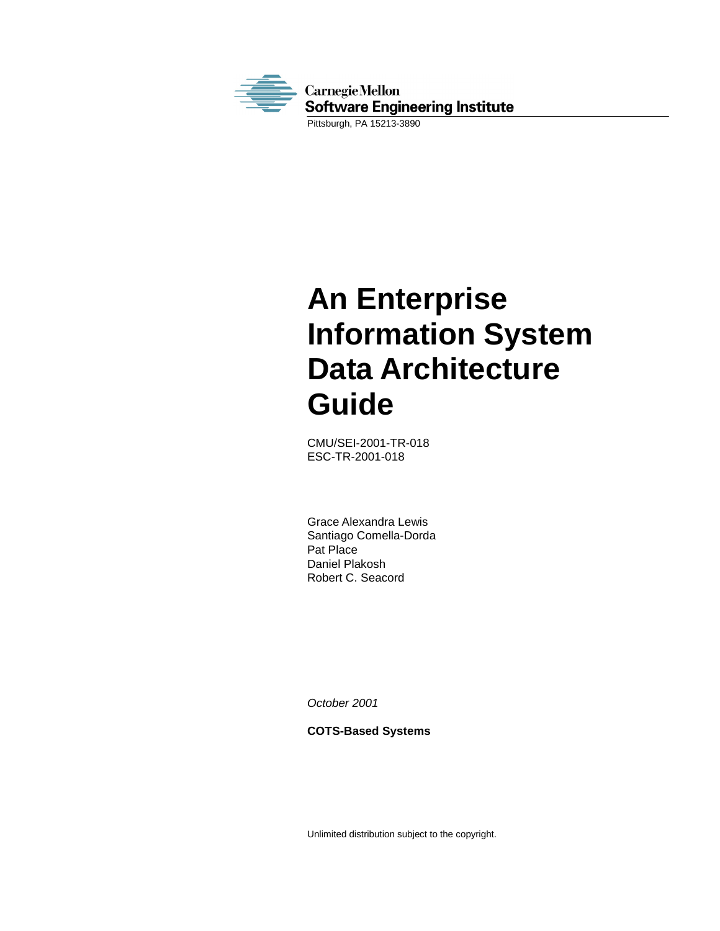

Pittsburgh, PA 15213-3890

# **An Enterprise Information System Data Architecture Guide**

CMU/SEI-2001-TR-018 ESC-TR-2001-018

Grace Alexandra Lewis Santiago Comella-Dorda Pat Place Daniel Plakosh Robert C. Seacord

*October 2001* 

**COTS-Based Systems** 

Unlimited distribution subject to the copyright.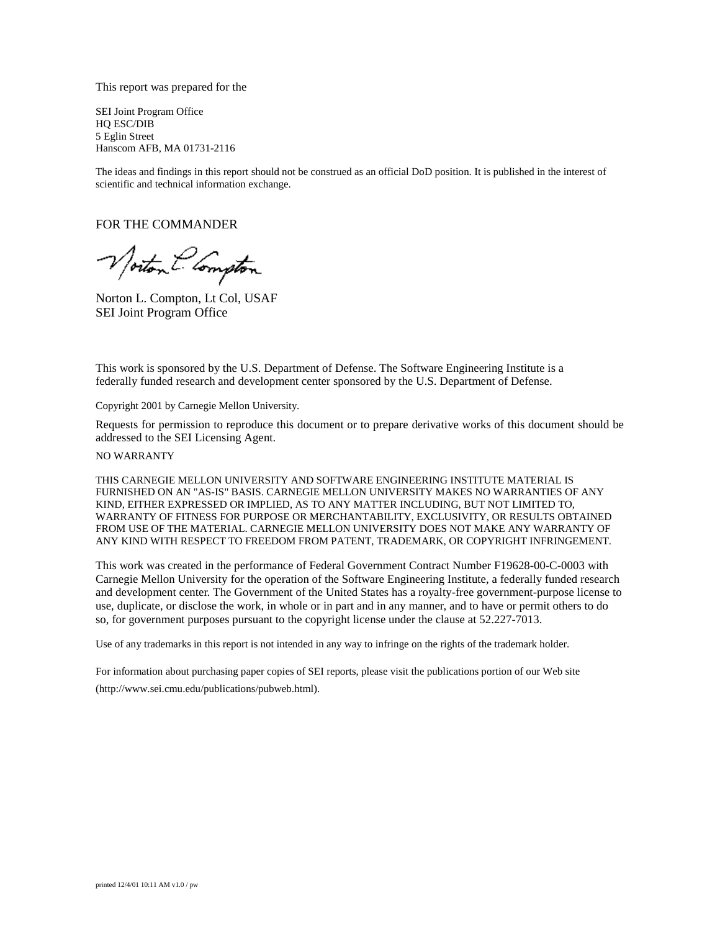This report was prepared for the

SEI Joint Program Office HQ ESC/DIB 5 Eglin Street Hanscom AFB, MA 01731-2116

The ideas and findings in this report should not be construed as an official DoD position. It is published in the interest of scientific and technical information exchange.

#### FOR THE COMMANDER

Voiton Compton

Norton L. Compton, Lt Col, USAF SEI Joint Program Office

This work is sponsored by the U.S. Department of Defense. The Software Engineering Institute is a federally funded research and development center sponsored by the U.S. Department of Defense.

Copyright 2001 by Carnegie Mellon University.

Requests for permission to reproduce this document or to prepare derivative works of this document should be addressed to the SEI Licensing Agent.

#### NO WARRANTY

THIS CARNEGIE MELLON UNIVERSITY AND SOFTWARE ENGINEERING INSTITUTE MATERIAL IS FURNISHED ON AN "AS-IS" BASIS. CARNEGIE MELLON UNIVERSITY MAKES NO WARRANTIES OF ANY KIND, EITHER EXPRESSED OR IMPLIED, AS TO ANY MATTER INCLUDING, BUT NOT LIMITED TO, WARRANTY OF FITNESS FOR PURPOSE OR MERCHANTABILITY, EXCLUSIVITY, OR RESULTS OBTAINED FROM USE OF THE MATERIAL. CARNEGIE MELLON UNIVERSITY DOES NOT MAKE ANY WARRANTY OF ANY KIND WITH RESPECT TO FREEDOM FROM PATENT, TRADEMARK, OR COPYRIGHT INFRINGEMENT.

This work was created in the performance of Federal Government Contract Number F19628-00-C-0003 with Carnegie Mellon University for the operation of the Software Engineering Institute, a federally funded research and development center. The Government of the United States has a royalty-free government-purpose license to use, duplicate, or disclose the work, in whole or in part and in any manner, and to have or permit others to do so, for government purposes pursuant to the copyright license under the clause at 52.227-7013.

Use of any trademarks in this report is not intended in any way to infringe on the rights of the trademark holder.

For information about purchasing paper copies of SEI reports, please visit the publications portion of our Web site (http://www.sei.cmu.edu/publications/pubweb.html).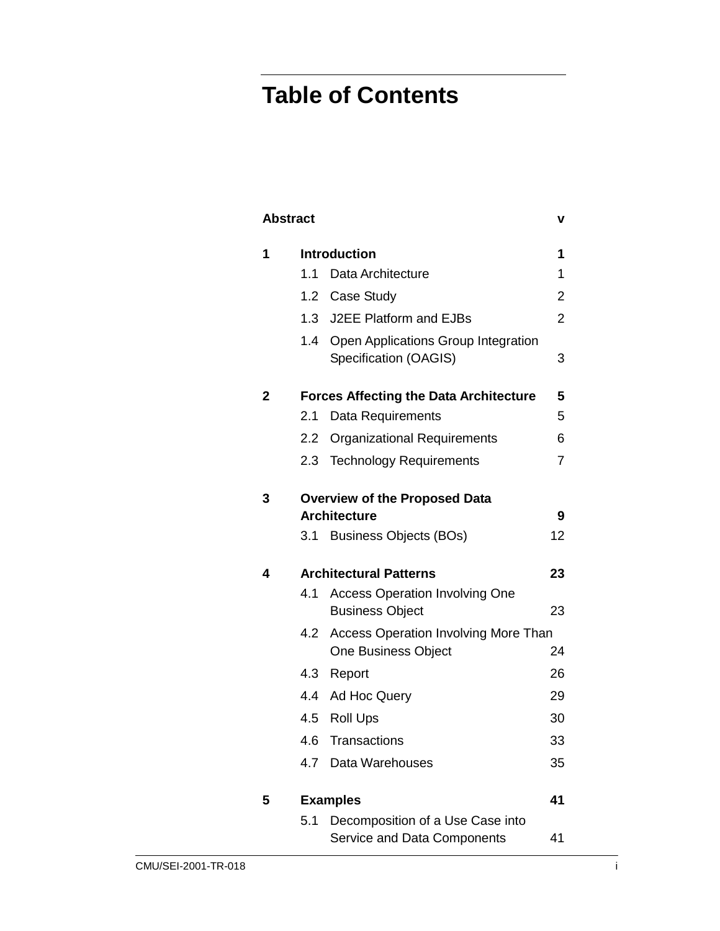# **Table of Contents**

| <b>Abstract</b> |                                               | v                                                                  |    |
|-----------------|-----------------------------------------------|--------------------------------------------------------------------|----|
| 1               |                                               | <b>Introduction</b>                                                | 1  |
|                 | 1.1                                           | Data Architecture                                                  | 1  |
|                 |                                               | 1.2 Case Study                                                     | 2  |
|                 |                                               | 1.3 J2EE Platform and EJBs                                         | 2  |
|                 |                                               | 1.4 Open Applications Group Integration<br>Specification (OAGIS)   | 3  |
| $\mathbf{2}$    | <b>Forces Affecting the Data Architecture</b> |                                                                    | 5  |
|                 | 2.1                                           | Data Requirements                                                  | 5  |
|                 | 2.2                                           | <b>Organizational Requirements</b>                                 | 6  |
|                 |                                               | 2.3 Technology Requirements                                        | 7  |
| 3               |                                               | <b>Overview of the Proposed Data</b>                               |    |
|                 |                                               | <b>Architecture</b>                                                | 9  |
|                 |                                               | 3.1 Business Objects (BOs)                                         | 12 |
| 4               | <b>Architectural Patterns</b>                 |                                                                    | 23 |
|                 | 4.1                                           | <b>Access Operation Involving One</b><br><b>Business Object</b>    | 23 |
|                 | 4.2                                           | <b>Access Operation Involving More Than</b><br>One Business Object | 24 |
|                 |                                               | 4.3 Report                                                         | 26 |
|                 |                                               | 4.4 Ad Hoc Query                                                   | 29 |
|                 |                                               | 4.5 Roll Ups                                                       | 30 |
|                 |                                               | 4.6 Transactions                                                   | 33 |
|                 | 4.7                                           | Data Warehouses                                                    | 35 |
| 5               | <b>Examples</b>                               |                                                                    | 41 |
|                 | 5.1                                           | Decomposition of a Use Case into<br>Service and Data Components    | 41 |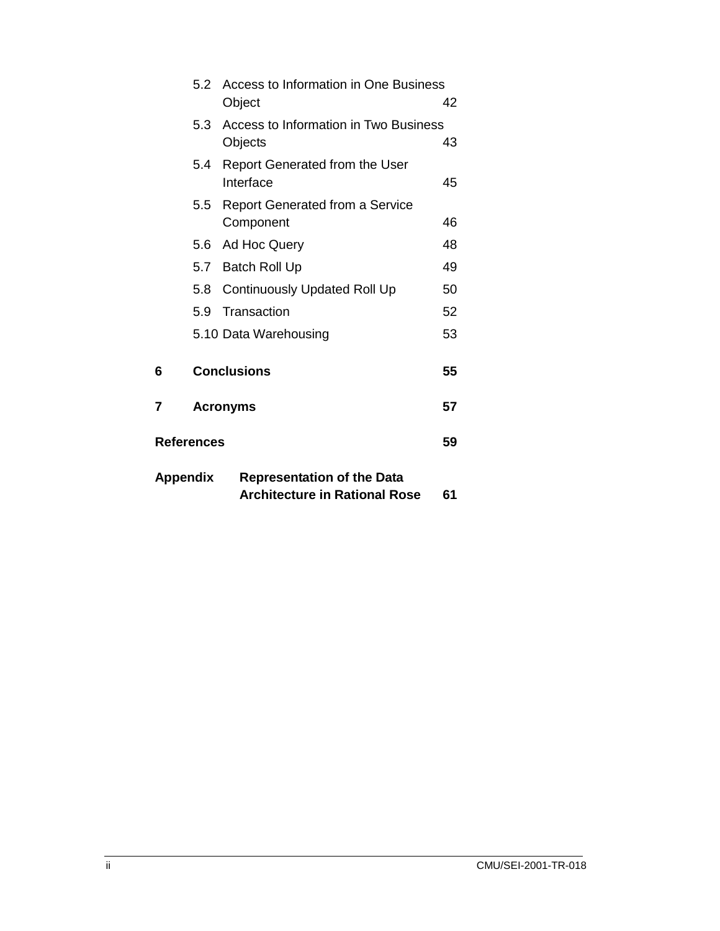|                   | 5.2      | Access to Information in One Business<br>Object                           | 42 |
|-------------------|----------|---------------------------------------------------------------------------|----|
|                   | 5.3      | Access to Information in Two Business<br>Objects                          | 43 |
|                   | 5.4      | Report Generated from the User<br>Interface                               | 45 |
|                   | 5.5      | <b>Report Generated from a Service</b><br>Component                       | 46 |
|                   |          | 5.6 Ad Hoc Query                                                          | 48 |
|                   |          | 5.7 Batch Roll Up                                                         | 49 |
|                   | 5.8      | <b>Continuously Updated Roll Up</b>                                       | 50 |
|                   | 5.9      | Transaction                                                               | 52 |
|                   |          | 5.10 Data Warehousing                                                     | 53 |
| 6                 |          | <b>Conclusions</b>                                                        | 55 |
| 7                 |          | <b>Acronyms</b>                                                           | 57 |
| <b>References</b> |          |                                                                           | 59 |
|                   | Appendix | <b>Representation of the Data</b><br><b>Architecture in Rational Rose</b> | 61 |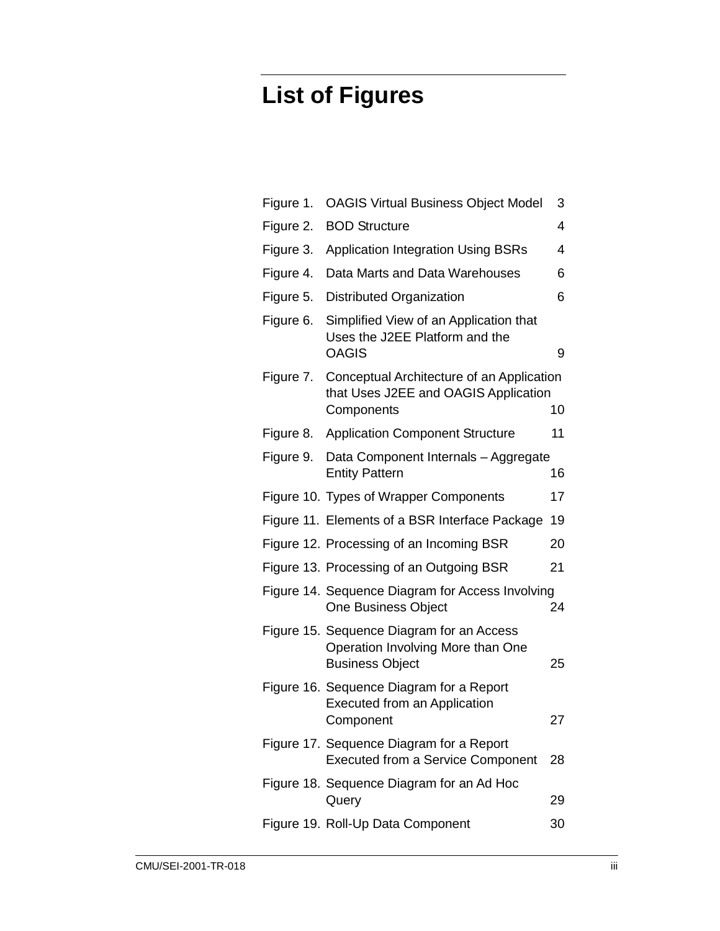# **List of Figures**

| Figure 1. | <b>OAGIS Virtual Business Object Model</b>                                                               | 3  |
|-----------|----------------------------------------------------------------------------------------------------------|----|
| Figure 2. | <b>BOD Structure</b>                                                                                     | 4  |
| Figure 3. | <b>Application Integration Using BSRs</b>                                                                | 4  |
| Figure 4. | Data Marts and Data Warehouses                                                                           | 6  |
| Figure 5. | Distributed Organization                                                                                 | 6  |
| Figure 6. | Simplified View of an Application that<br>Uses the J2EE Platform and the<br><b>OAGIS</b>                 | 9  |
| Figure 7. | Conceptual Architecture of an Application<br>that Uses J2EE and OAGIS Application<br>Components          | 10 |
| Figure 8. | <b>Application Component Structure</b>                                                                   | 11 |
| Figure 9. | Data Component Internals - Aggregate<br><b>Entity Pattern</b>                                            | 16 |
|           | Figure 10. Types of Wrapper Components                                                                   | 17 |
|           | Figure 11. Elements of a BSR Interface Package                                                           | 19 |
|           | Figure 12. Processing of an Incoming BSR                                                                 | 20 |
|           | Figure 13. Processing of an Outgoing BSR                                                                 | 21 |
|           | Figure 14. Sequence Diagram for Access Involving<br><b>One Business Object</b>                           | 24 |
|           | Figure 15. Sequence Diagram for an Access<br>Operation Involving More than One<br><b>Business Object</b> | 25 |
|           | Figure 16. Sequence Diagram for a Report<br><b>Executed from an Application</b><br>Component             | 27 |
|           | Figure 17. Sequence Diagram for a Report<br><b>Executed from a Service Component</b>                     | 28 |
|           | Figure 18. Sequence Diagram for an Ad Hoc<br>Query                                                       | 29 |
|           | Figure 19. Roll-Up Data Component                                                                        | 30 |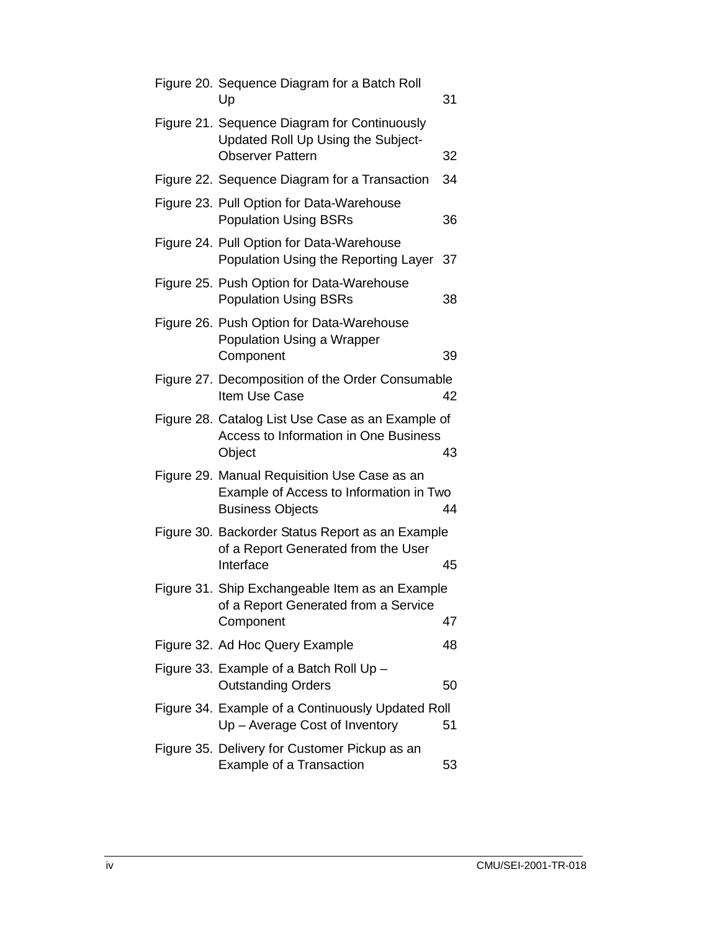| Figure 20. Sequence Diagram for a Batch Roll<br>Up                                                                 | 31 |
|--------------------------------------------------------------------------------------------------------------------|----|
| Figure 21. Sequence Diagram for Continuously<br>Updated Roll Up Using the Subject-<br><b>Observer Pattern</b>      | 32 |
| Figure 22. Sequence Diagram for a Transaction                                                                      | 34 |
| Figure 23. Pull Option for Data-Warehouse<br><b>Population Using BSRs</b>                                          | 36 |
| Figure 24. Pull Option for Data-Warehouse<br>Population Using the Reporting Layer                                  | 37 |
| Figure 25. Push Option for Data-Warehouse<br><b>Population Using BSRs</b>                                          | 38 |
| Figure 26. Push Option for Data-Warehouse<br>Population Using a Wrapper<br>Component                               | 39 |
| Figure 27. Decomposition of the Order Consumable<br>Item Use Case                                                  | 42 |
| Figure 28. Catalog List Use Case as an Example of<br>Access to Information in One Business<br>Object               | 43 |
| Figure 29. Manual Requisition Use Case as an<br>Example of Access to Information in Two<br><b>Business Objects</b> | 44 |
| Figure 30. Backorder Status Report as an Example<br>of a Report Generated from the User<br>Interface               | 45 |
| Figure 31. Ship Exchangeable Item as an Example<br>of a Report Generated from a Service<br>Component               | 47 |
| Figure 32. Ad Hoc Query Example                                                                                    | 48 |
| Figure 33. Example of a Batch Roll Up -<br><b>Outstanding Orders</b>                                               | 50 |
| Figure 34. Example of a Continuously Updated Roll<br>Up - Average Cost of Inventory                                | 51 |
| Figure 35. Delivery for Customer Pickup as an<br>Example of a Transaction                                          | 53 |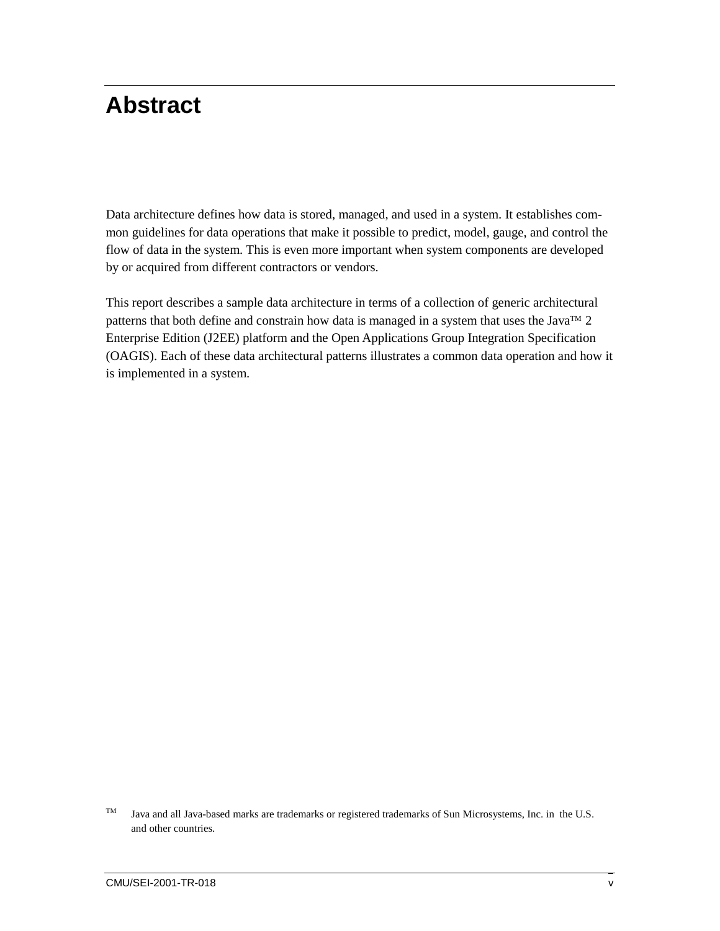# **Abstract**

Data architecture defines how data is stored, managed, and used in a system. It establishes common guidelines for data operations that make it possible to predict, model, gauge, and control the flow of data in the system. This is even more important when system components are developed by or acquired from different contractors or vendors.

This report describes a sample data architecture in terms of a collection of generic architectural patterns that both define and constrain how data is managed in a system that uses the Java<sup>TM</sup> 2 Enterprise Edition (J2EE) platform and the Open Applications Group Integration Specification (OAGIS). Each of these data architectural patterns illustrates a common data operation and how it is implemented in a system.

TM Java and all Java-based marks are trademarks or registered trademarks of Sun Microsystems, Inc. in the U.S. and other countries.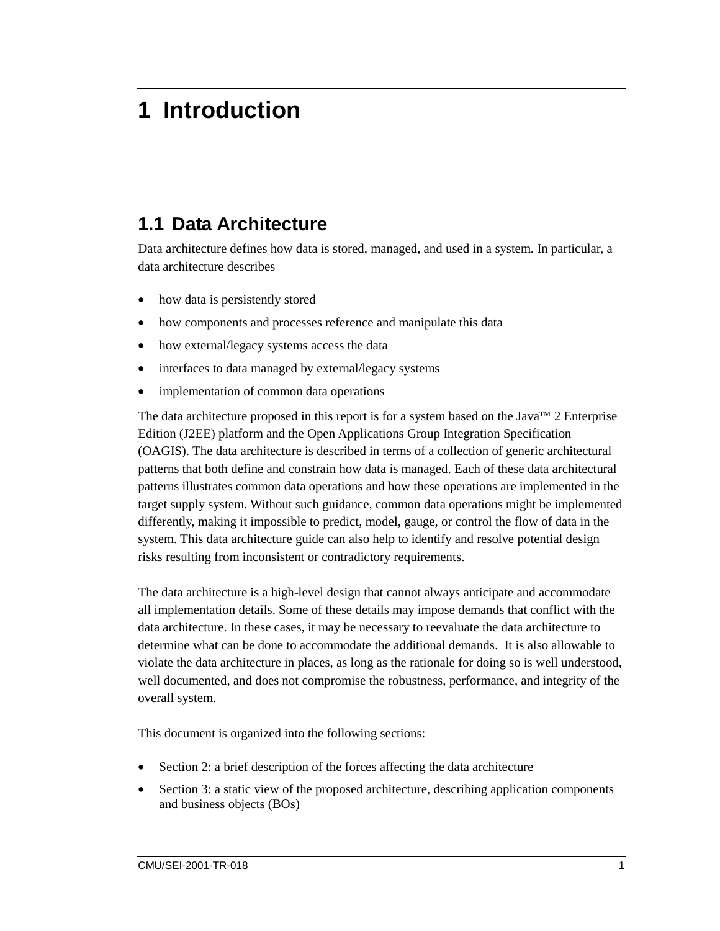# **1 Introduction**

### **1.1 Data Architecture**

Data architecture defines how data is stored, managed, and used in a system. In particular, a data architecture describes

- how data is persistently stored
- how components and processes reference and manipulate this data
- how external/legacy systems access the data
- interfaces to data managed by external/legacy systems
- implementation of common data operations

The data architecture proposed in this report is for a system based on the Java<sup>TM</sup> 2 Enterprise Edition (J2EE) platform and the Open Applications Group Integration Specification (OAGIS). The data architecture is described in terms of a collection of generic architectural patterns that both define and constrain how data is managed. Each of these data architectural patterns illustrates common data operations and how these operations are implemented in the target supply system. Without such guidance, common data operations might be implemented differently, making it impossible to predict, model, gauge, or control the flow of data in the system. This data architecture guide can also help to identify and resolve potential design risks resulting from inconsistent or contradictory requirements.

The data architecture is a high-level design that cannot always anticipate and accommodate all implementation details. Some of these details may impose demands that conflict with the data architecture. In these cases, it may be necessary to reevaluate the data architecture to determine what can be done to accommodate the additional demands. It is also allowable to violate the data architecture in places, as long as the rationale for doing so is well understood, well documented, and does not compromise the robustness, performance, and integrity of the overall system.

This document is organized into the following sections:

- Section 2: a brief description of the forces affecting the data architecture
- Section 3: a static view of the proposed architecture, describing application components and business objects (BOs)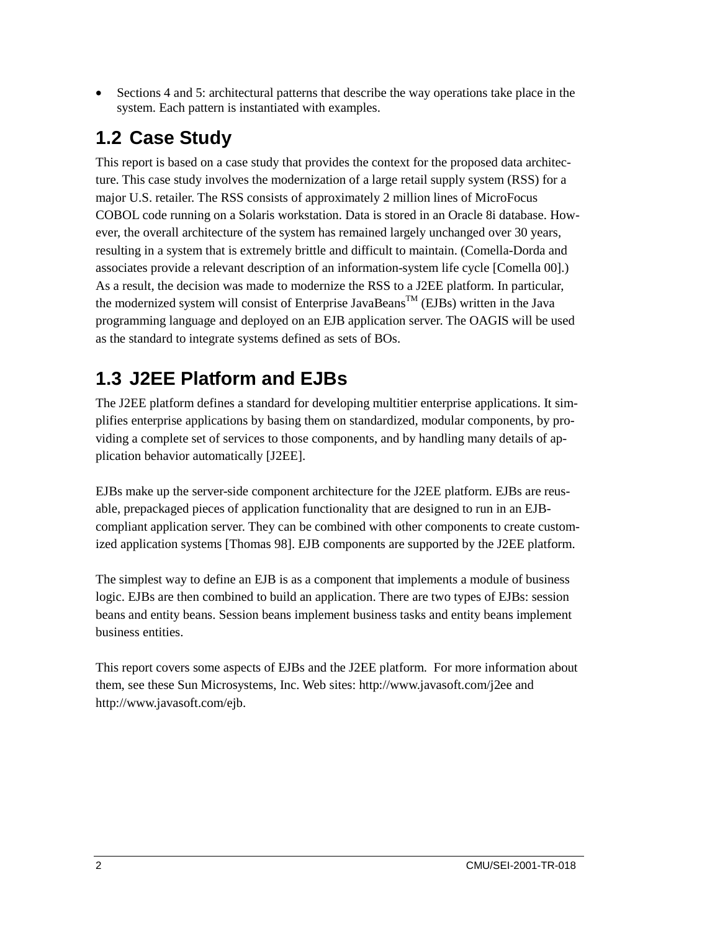• Sections 4 and 5: architectural patterns that describe the way operations take place in the system. Each pattern is instantiated with examples.

# **1.2 Case Study**

This report is based on a case study that provides the context for the proposed data architecture. This case study involves the modernization of a large retail supply system (RSS) for a major U.S. retailer. The RSS consists of approximately 2 million lines of MicroFocus COBOL code running on a Solaris workstation. Data is stored in an Oracle 8i database. However, the overall architecture of the system has remained largely unchanged over 30 years, resulting in a system that is extremely brittle and difficult to maintain. (Comella-Dorda and associates provide a relevant description of an information-system life cycle [Comella 00].) As a result, the decision was made to modernize the RSS to a J2EE platform. In particular, the modernized system will consist of Enterprise JavaBeans<sup>TM</sup> (EJBs) written in the Java programming language and deployed on an EJB application server. The OAGIS will be used as the standard to integrate systems defined as sets of BOs.

# **1.3 J2EE Platform and EJBs**

The J2EE platform defines a standard for developing multitier enterprise applications. It simplifies enterprise applications by basing them on standardized, modular components, by providing a complete set of services to those components, and by handling many details of application behavior automatically [J2EE].

EJBs make up the server-side component architecture for the J2EE platform. EJBs are reusable, prepackaged pieces of application functionality that are designed to run in an EJBcompliant application server. They can be combined with other components to create customized application systems [Thomas 98]. EJB components are supported by the J2EE platform.

The simplest way to define an EJB is as a component that implements a module of business logic. EJBs are then combined to build an application. There are two types of EJBs: session beans and entity beans. Session beans implement business tasks and entity beans implement business entities.

This report covers some aspects of EJBs and the J2EE platform. For more information about them, see these Sun Microsystems, Inc. Web sites: http://www.javasoft.com/j2ee and http://www.javasoft.com/ejb.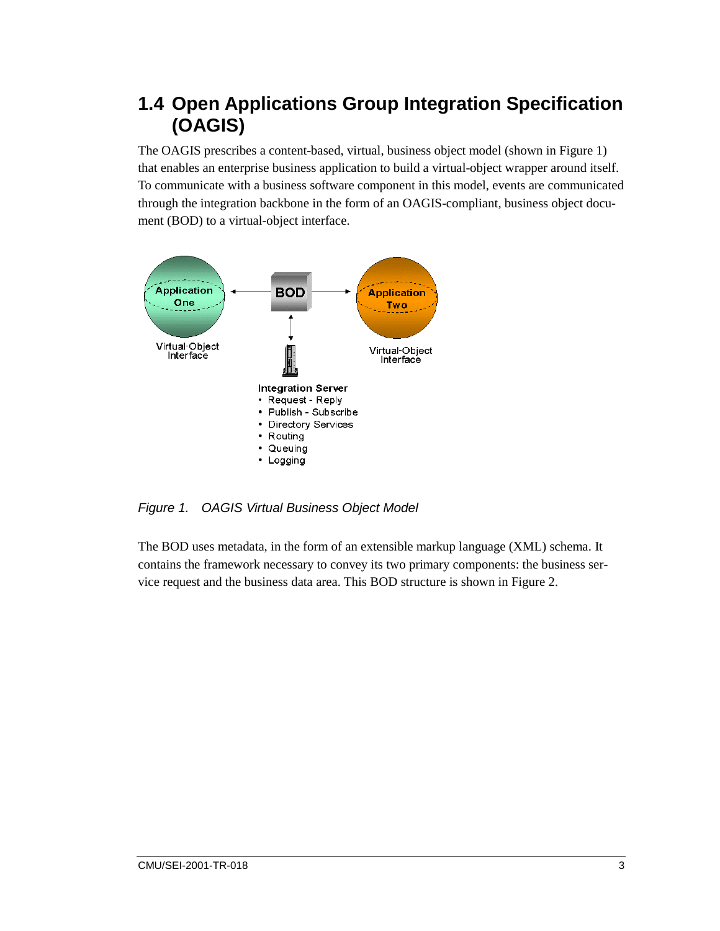### **1.4 Open Applications Group Integration Specification (OAGIS)**

The OAGIS prescribes a content-based, virtual, business object model (shown in Figure 1) that enables an enterprise business application to build a virtual-object wrapper around itself. To communicate with a business software component in this model, events are communicated through the integration backbone in the form of an OAGIS-compliant, business object document (BOD) to a virtual-object interface.



*Figure 1. OAGIS Virtual Business Object Model* 

The BOD uses metadata, in the form of an extensible markup language (XML) schema. It contains the framework necessary to convey its two primary components: the business service request and the business data area. This BOD structure is shown in Figure 2.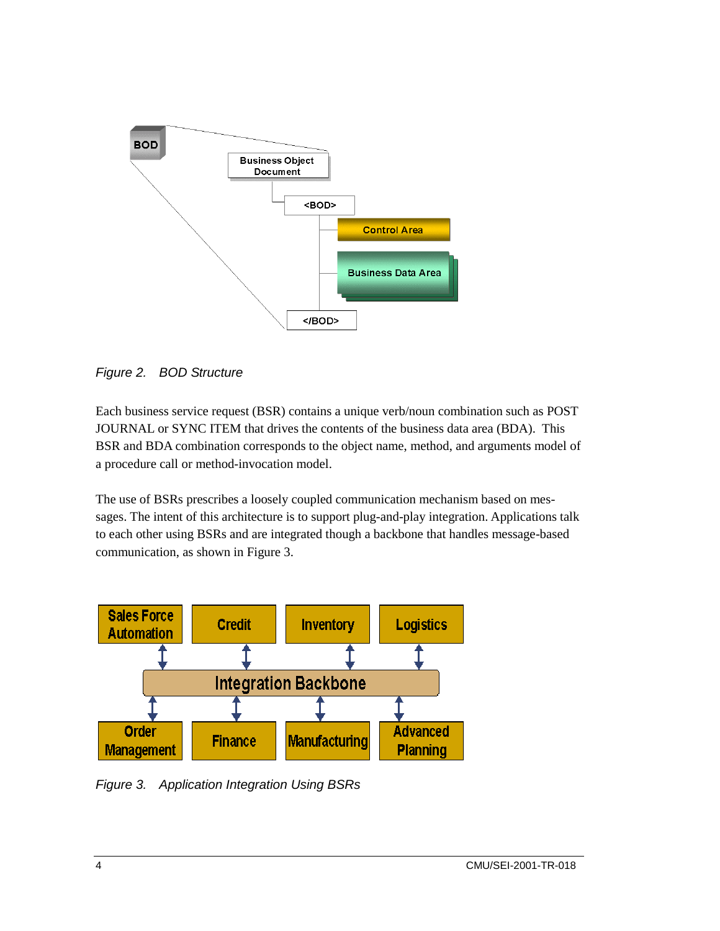

*Figure 2. BOD Structure* 

Each business service request (BSR) contains a unique verb/noun combination such as POST JOURNAL or SYNC ITEM that drives the contents of the business data area (BDA). This BSR and BDA combination corresponds to the object name, method, and arguments model of a procedure call or method-invocation model.

The use of BSRs prescribes a loosely coupled communication mechanism based on messages. The intent of this architecture is to support plug-and-play integration. Applications talk to each other using BSRs and are integrated though a backbone that handles message-based communication, as shown in Figure 3.



*Figure 3. Application Integration Using BSRs*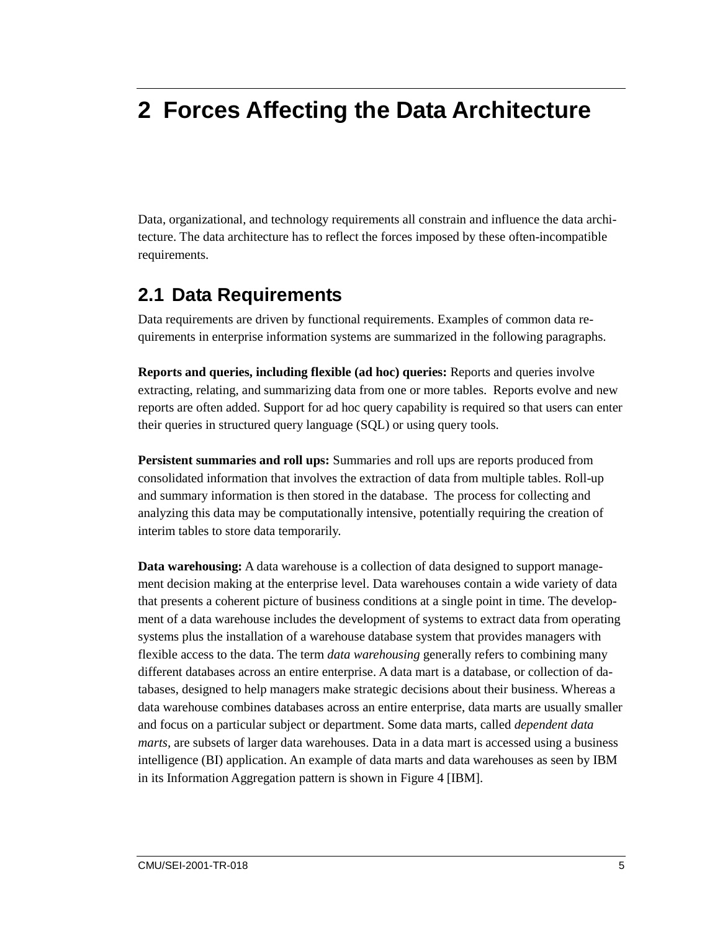# **2 Forces Affecting the Data Architecture**

Data, organizational, and technology requirements all constrain and influence the data architecture. The data architecture has to reflect the forces imposed by these often-incompatible requirements.

### **2.1 Data Requirements**

Data requirements are driven by functional requirements. Examples of common data requirements in enterprise information systems are summarized in the following paragraphs.

**Reports and queries, including flexible (ad hoc) queries:** Reports and queries involve extracting, relating, and summarizing data from one or more tables. Reports evolve and new reports are often added. Support for ad hoc query capability is required so that users can enter their queries in structured query language (SQL) or using query tools.

**Persistent summaries and roll ups:** Summaries and roll ups are reports produced from consolidated information that involves the extraction of data from multiple tables. Roll-up and summary information is then stored in the database. The process for collecting and analyzing this data may be computationally intensive, potentially requiring the creation of interim tables to store data temporarily.

**Data warehousing:** A data warehouse is a collection of data designed to support management decision making at the enterprise level. Data warehouses contain a wide variety of data that presents a coherent picture of business conditions at a single point in time. The development of a data warehouse includes the development of systems to extract data from operating systems plus the installation of a warehouse database system that provides managers with flexible access to the data. The term *data warehousing* generally refers to combining many different databases across an entire enterprise. A data mart is a database, or collection of databases, designed to help managers make strategic decisions about their business. Whereas a data warehouse combines databases across an entire enterprise, data marts are usually smaller and focus on a particular subject or department. Some data marts, called *dependent data marts,* are subsets of larger data warehouses. Data in a data mart is accessed using a business intelligence (BI) application. An example of data marts and data warehouses as seen by IBM in its Information Aggregation pattern is shown in Figure 4 [IBM].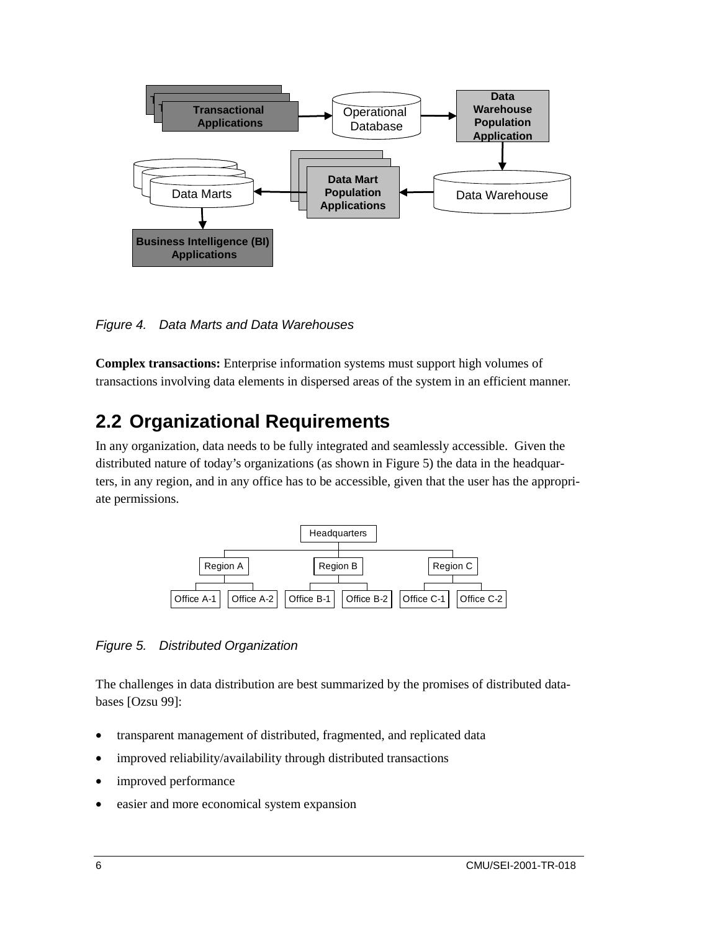

*Figure 4. Data Marts and Data Warehouses* 

**Complex transactions:** Enterprise information systems must support high volumes of transactions involving data elements in dispersed areas of the system in an efficient manner.

# **2.2 Organizational Requirements**

In any organization, data needs to be fully integrated and seamlessly accessible. Given the distributed nature of today's organizations (as shown in Figure 5) the data in the headquarters, in any region, and in any office has to be accessible, given that the user has the appropriate permissions.



*Figure 5. Distributed Organization* 

The challenges in data distribution are best summarized by the promises of distributed databases [Ozsu 99]:

- transparent management of distributed, fragmented, and replicated data
- improved reliability/availability through distributed transactions
- improved performance
- easier and more economical system expansion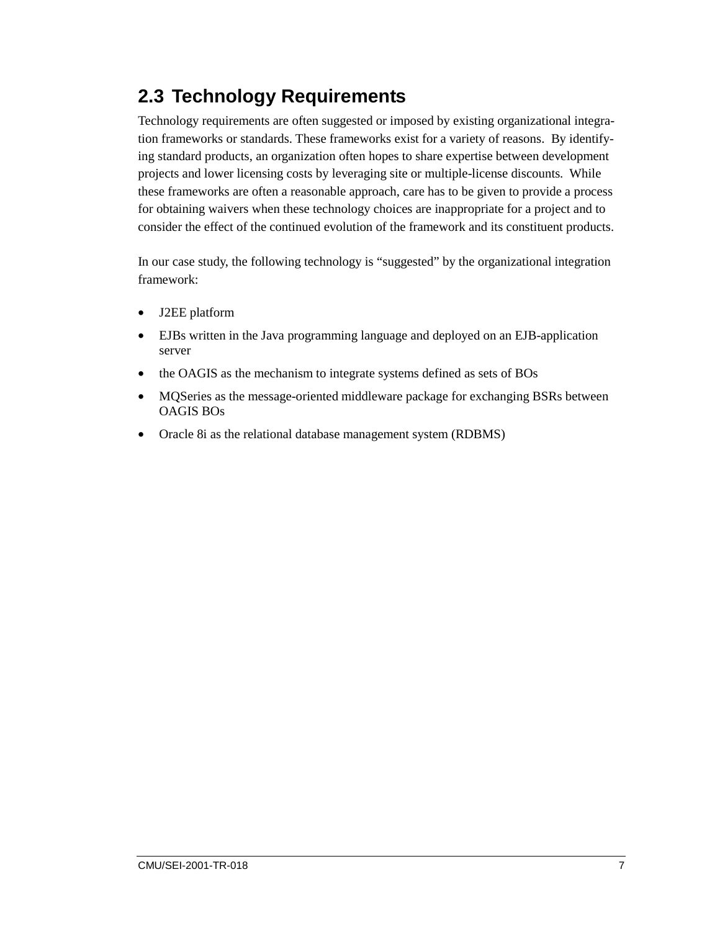# **2.3 Technology Requirements**

Technology requirements are often suggested or imposed by existing organizational integration frameworks or standards. These frameworks exist for a variety of reasons. By identifying standard products, an organization often hopes to share expertise between development projects and lower licensing costs by leveraging site or multiple-license discounts. While these frameworks are often a reasonable approach, care has to be given to provide a process for obtaining waivers when these technology choices are inappropriate for a project and to consider the effect of the continued evolution of the framework and its constituent products.

In our case study, the following technology is "suggested" by the organizational integration framework:

- J2EE platform
- EJBs written in the Java programming language and deployed on an EJB-application server
- the OAGIS as the mechanism to integrate systems defined as sets of BOs
- MQSeries as the message-oriented middleware package for exchanging BSRs between OAGIS BOs
- Oracle 8i as the relational database management system (RDBMS)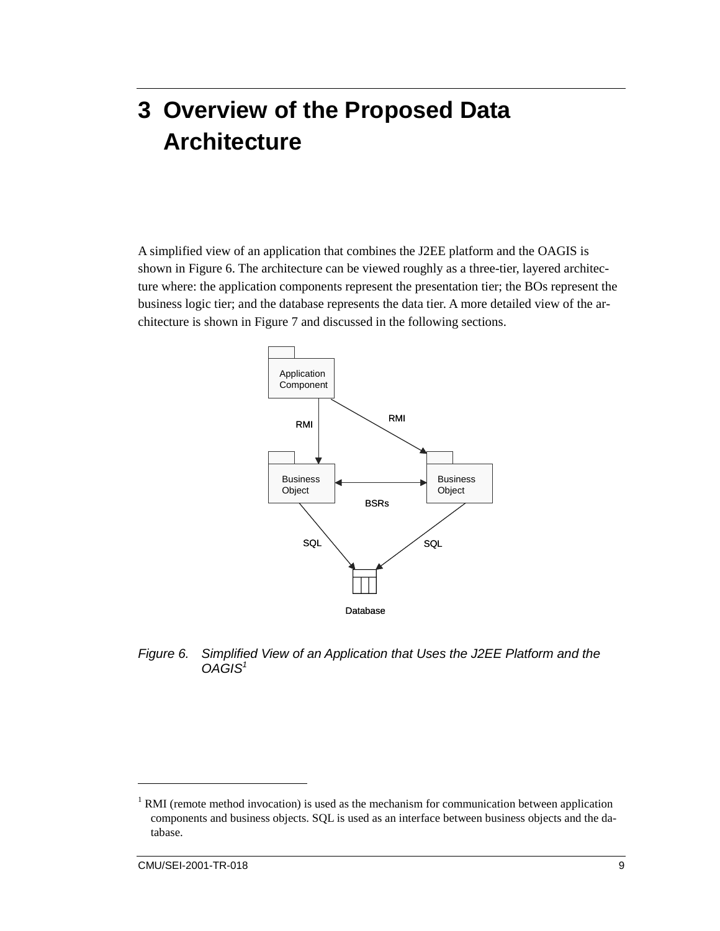# **3 Overview of the Proposed Data Architecture**

A simplified view of an application that combines the J2EE platform and the OAGIS is shown in Figure 6. The architecture can be viewed roughly as a three-tier, layered architecture where: the application components represent the presentation tier; the BOs represent the business logic tier; and the database represents the data tier. A more detailed view of the architecture is shown in Figure 7 and discussed in the following sections.



#### *Figure 6. Simplified View of an Application that Uses the J2EE Platform and the OAGIS1*

l

 $<sup>1</sup>$  RMI (remote method invocation) is used as the mechanism for communication between application</sup> components and business objects. SQL is used as an interface between business objects and the database.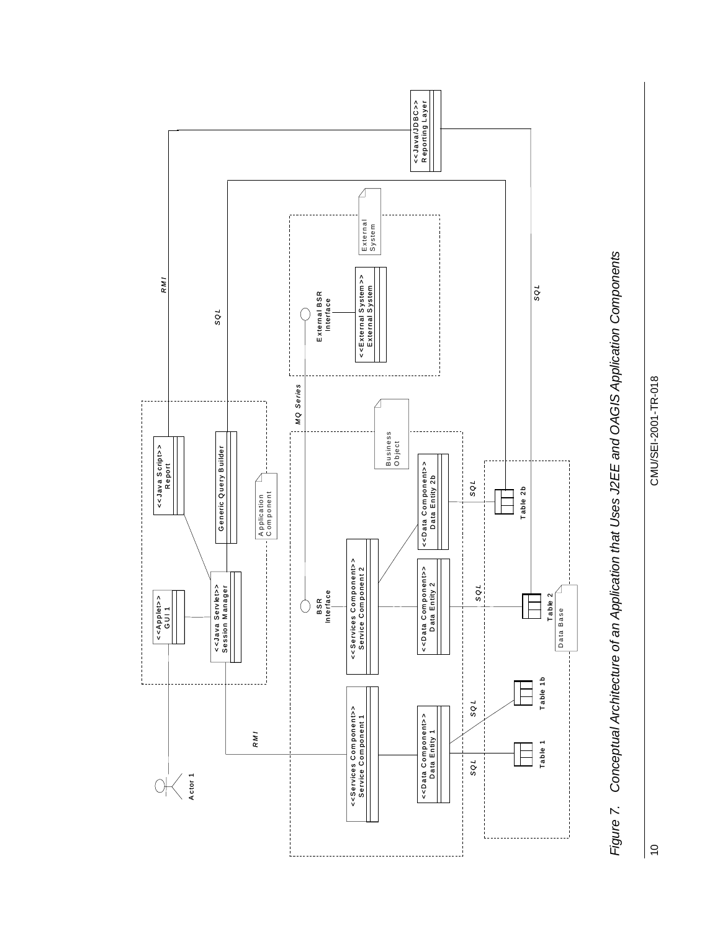

Conceptual Architecture of an Application that Uses J2EE and OAGIS Application Components *Figure 7. Conceptual Architecture of an Application that Uses J2EE and OAGIS Application Components* Figure 7.

CMU/SEI-2001-TR-018 10 CMU/SEI-2001-TR-018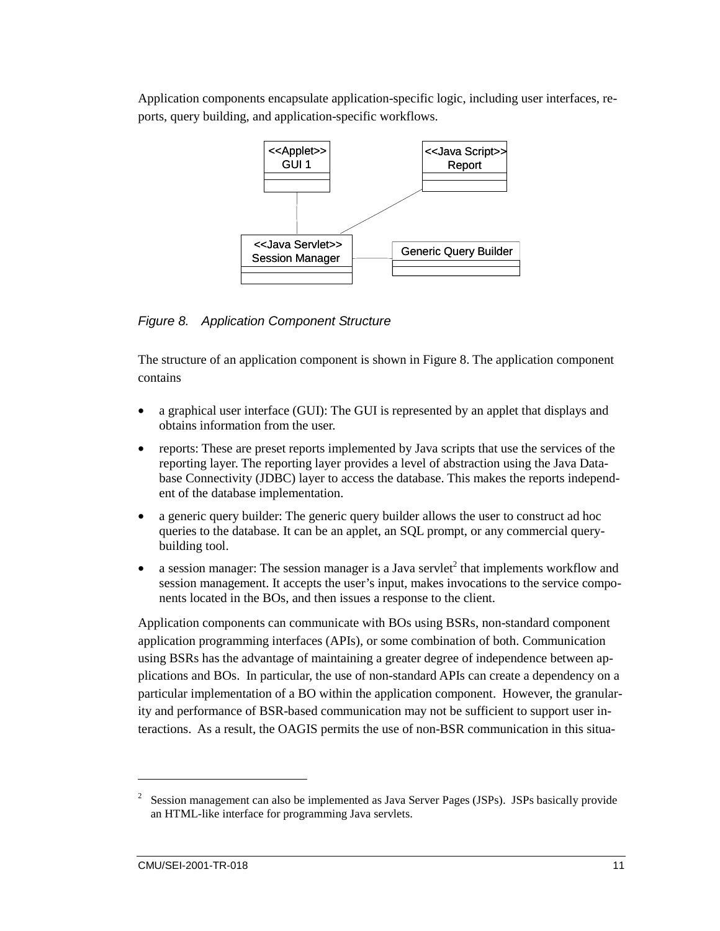Application components encapsulate application-specific logic, including user interfaces, reports, query building, and application-specific workflows.



*Figure 8. Application Component Structure* 

The structure of an application component is shown in Figure 8. The application component contains

- a graphical user interface (GUI): The GUI is represented by an applet that displays and obtains information from the user.
- reports: These are preset reports implemented by Java scripts that use the services of the reporting layer. The reporting layer provides a level of abstraction using the Java Database Connectivity (JDBC) layer to access the database. This makes the reports independent of the database implementation.
- a generic query builder: The generic query builder allows the user to construct ad hoc queries to the database. It can be an applet, an SQL prompt, or any commercial querybuilding tool.
- a session manager: The session manager is a Java servlet<sup>2</sup> that implements workflow and session management. It accepts the user's input, makes invocations to the service components located in the BOs, and then issues a response to the client.

Application components can communicate with BOs using BSRs, non-standard component application programming interfaces (APIs), or some combination of both. Communication using BSRs has the advantage of maintaining a greater degree of independence between applications and BOs. In particular, the use of non-standard APIs can create a dependency on a particular implementation of a BO within the application component. However, the granularity and performance of BSR-based communication may not be sufficient to support user interactions. As a result, the OAGIS permits the use of non-BSR communication in this situa-

l

<sup>&</sup>lt;sup>2</sup> Session management can also be implemented as Java Server Pages (JSPs). JSPs basically provide an HTML-like interface for programming Java servlets.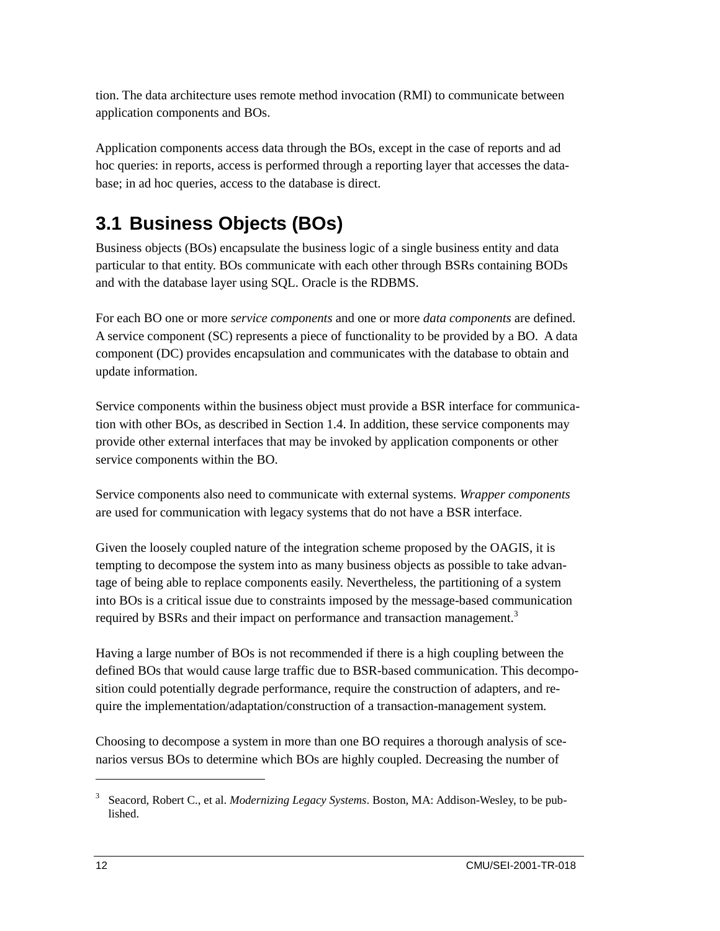tion. The data architecture uses remote method invocation (RMI) to communicate between application components and BOs.

Application components access data through the BOs, except in the case of reports and ad hoc queries: in reports, access is performed through a reporting layer that accesses the database; in ad hoc queries, access to the database is direct.

### **3.1 Business Objects (BOs)**

Business objects (BOs) encapsulate the business logic of a single business entity and data particular to that entity. BOs communicate with each other through BSRs containing BODs and with the database layer using SQL. Oracle is the RDBMS.

For each BO one or more *service components* and one or more *data components* are defined. A service component (SC) represents a piece of functionality to be provided by a BO. A data component (DC) provides encapsulation and communicates with the database to obtain and update information.

Service components within the business object must provide a BSR interface for communication with other BOs, as described in Section 1.4. In addition, these service components may provide other external interfaces that may be invoked by application components or other service components within the BO.

Service components also need to communicate with external systems. *Wrapper components* are used for communication with legacy systems that do not have a BSR interface.

Given the loosely coupled nature of the integration scheme proposed by the OAGIS, it is tempting to decompose the system into as many business objects as possible to take advantage of being able to replace components easily. Nevertheless, the partitioning of a system into BOs is a critical issue due to constraints imposed by the message-based communication required by BSRs and their impact on performance and transaction management.<sup>3</sup>

Having a large number of BOs is not recommended if there is a high coupling between the defined BOs that would cause large traffic due to BSR-based communication. This decomposition could potentially degrade performance, require the construction of adapters, and require the implementation/adaptation/construction of a transaction-management system.

Choosing to decompose a system in more than one BO requires a thorough analysis of scenarios versus BOs to determine which BOs are highly coupled. Decreasing the number of

l

<sup>3</sup> Seacord, Robert C., et al. *Modernizing Legacy Systems*. Boston, MA: Addison-Wesley, to be published.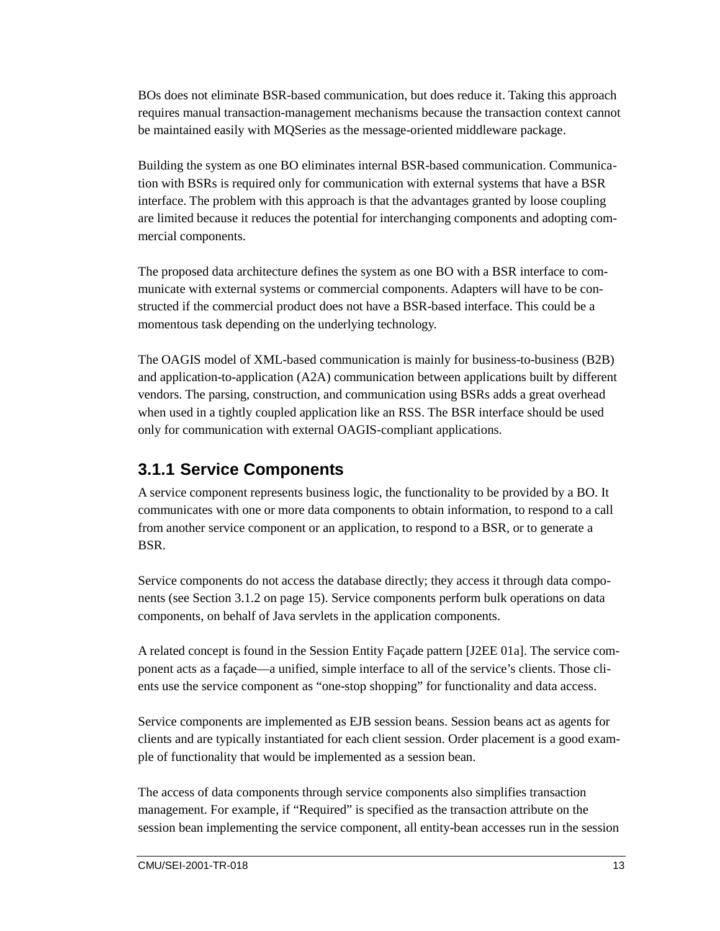BOs does not eliminate BSR-based communication, but does reduce it. Taking this approach requires manual transaction-management mechanisms because the transaction context cannot be maintained easily with MQSeries as the message-oriented middleware package.

Building the system as one BO eliminates internal BSR-based communication. Communication with BSRs is required only for communication with external systems that have a BSR interface. The problem with this approach is that the advantages granted by loose coupling are limited because it reduces the potential for interchanging components and adopting commercial components.

The proposed data architecture defines the system as one BO with a BSR interface to communicate with external systems or commercial components. Adapters will have to be constructed if the commercial product does not have a BSR-based interface. This could be a momentous task depending on the underlying technology.

The OAGIS model of XML-based communication is mainly for business-to-business (B2B) and application-to-application (A2A) communication between applications built by different vendors. The parsing, construction, and communication using BSRs adds a great overhead when used in a tightly coupled application like an RSS. The BSR interface should be used only for communication with external OAGIS-compliant applications.

#### **3.1.1 Service Components**

A service component represents business logic, the functionality to be provided by a BO. It communicates with one or more data components to obtain information, to respond to a call from another service component or an application, to respond to a BSR, or to generate a BSR.

Service components do not access the database directly; they access it through data components (see Section 3.1.2 on page 15). Service components perform bulk operations on data components, on behalf of Java servlets in the application components.

A related concept is found in the Session Entity Façade pattern [J2EE 01a]. The service component acts as a façade—a unified, simple interface to all of the service's clients. Those clients use the service component as "one-stop shopping" for functionality and data access.

Service components are implemented as EJB session beans. Session beans act as agents for clients and are typically instantiated for each client session. Order placement is a good example of functionality that would be implemented as a session bean.

The access of data components through service components also simplifies transaction management. For example, if "Required" is specified as the transaction attribute on the session bean implementing the service component, all entity-bean accesses run in the session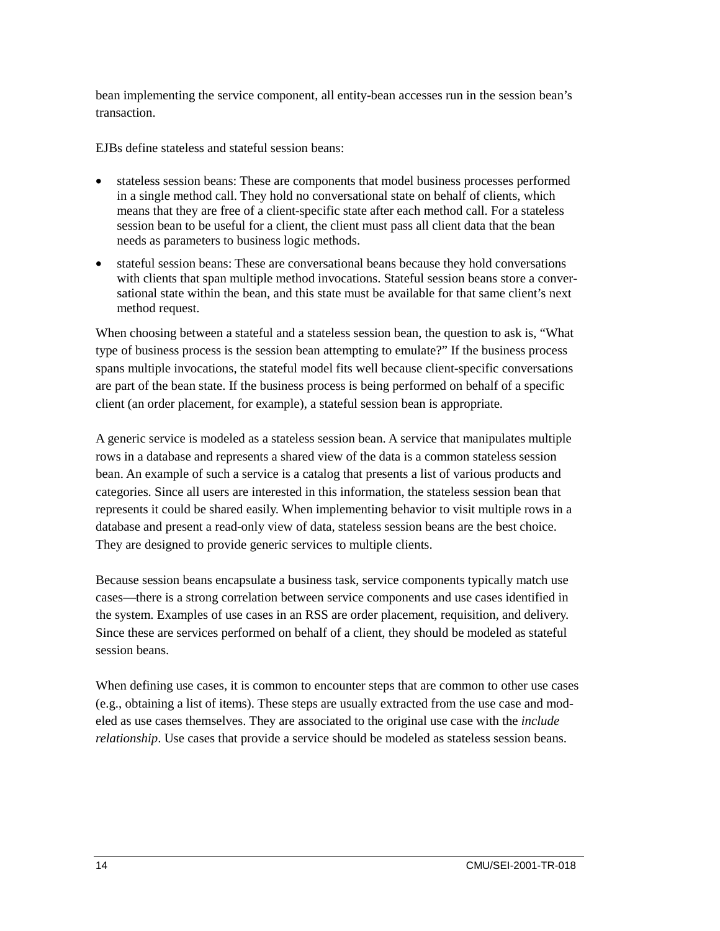bean implementing the service component, all entity-bean accesses run in the session bean's transaction.

EJBs define stateless and stateful session beans:

- stateless session beans: These are components that model business processes performed in a single method call. They hold no conversational state on behalf of clients, which means that they are free of a client-specific state after each method call. For a stateless session bean to be useful for a client, the client must pass all client data that the bean needs as parameters to business logic methods.
- stateful session beans: These are conversational beans because they hold conversations with clients that span multiple method invocations. Stateful session beans store a conversational state within the bean, and this state must be available for that same client's next method request.

When choosing between a stateful and a stateless session bean, the question to ask is, "What type of business process is the session bean attempting to emulate?" If the business process spans multiple invocations, the stateful model fits well because client-specific conversations are part of the bean state. If the business process is being performed on behalf of a specific client (an order placement, for example), a stateful session bean is appropriate.

A generic service is modeled as a stateless session bean. A service that manipulates multiple rows in a database and represents a shared view of the data is a common stateless session bean. An example of such a service is a catalog that presents a list of various products and categories. Since all users are interested in this information, the stateless session bean that represents it could be shared easily. When implementing behavior to visit multiple rows in a database and present a read-only view of data, stateless session beans are the best choice. They are designed to provide generic services to multiple clients.

Because session beans encapsulate a business task, service components typically match use cases—there is a strong correlation between service components and use cases identified in the system. Examples of use cases in an RSS are order placement, requisition, and delivery. Since these are services performed on behalf of a client, they should be modeled as stateful session beans.

When defining use cases, it is common to encounter steps that are common to other use cases (e.g., obtaining a list of items). These steps are usually extracted from the use case and modeled as use cases themselves. They are associated to the original use case with the *include relationship*. Use cases that provide a service should be modeled as stateless session beans.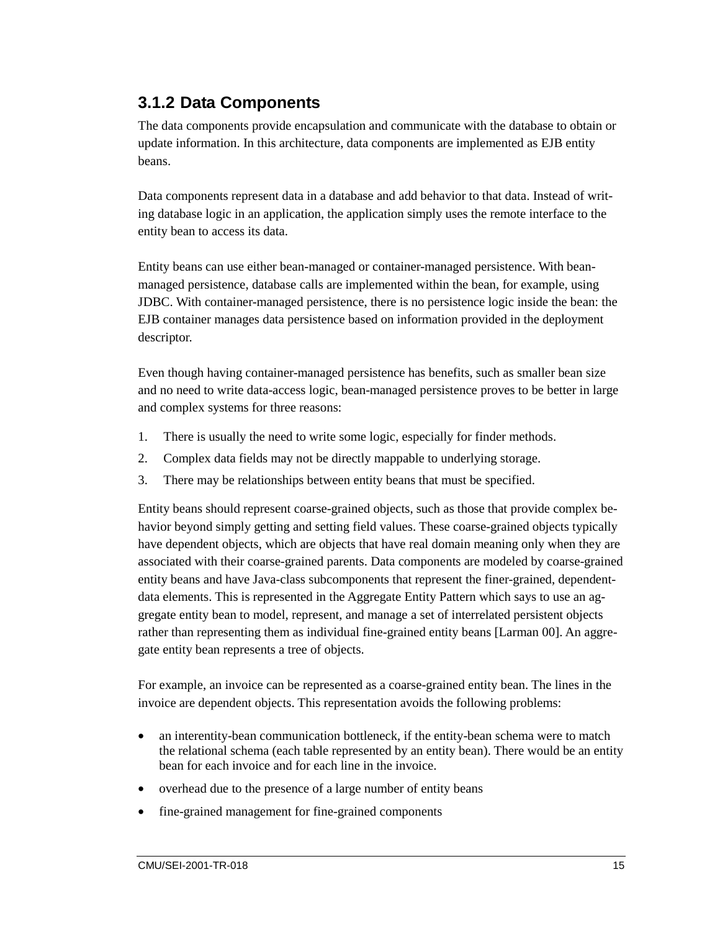#### **3.1.2 Data Components**

The data components provide encapsulation and communicate with the database to obtain or update information. In this architecture, data components are implemented as EJB entity beans.

Data components represent data in a database and add behavior to that data. Instead of writing database logic in an application, the application simply uses the remote interface to the entity bean to access its data.

Entity beans can use either bean-managed or container-managed persistence. With beanmanaged persistence, database calls are implemented within the bean, for example, using JDBC. With container-managed persistence, there is no persistence logic inside the bean: the EJB container manages data persistence based on information provided in the deployment descriptor.

Even though having container-managed persistence has benefits, such as smaller bean size and no need to write data-access logic, bean-managed persistence proves to be better in large and complex systems for three reasons:

- 1. There is usually the need to write some logic, especially for finder methods.
- 2. Complex data fields may not be directly mappable to underlying storage.
- 3. There may be relationships between entity beans that must be specified.

Entity beans should represent coarse-grained objects, such as those that provide complex behavior beyond simply getting and setting field values. These coarse-grained objects typically have dependent objects, which are objects that have real domain meaning only when they are associated with their coarse-grained parents. Data components are modeled by coarse-grained entity beans and have Java-class subcomponents that represent the finer-grained, dependentdata elements. This is represented in the Aggregate Entity Pattern which says to use an aggregate entity bean to model, represent, and manage a set of interrelated persistent objects rather than representing them as individual fine-grained entity beans [Larman 00]. An aggregate entity bean represents a tree of objects.

For example, an invoice can be represented as a coarse-grained entity bean. The lines in the invoice are dependent objects. This representation avoids the following problems:

- an interentity-bean communication bottleneck, if the entity-bean schema were to match the relational schema (each table represented by an entity bean). There would be an entity bean for each invoice and for each line in the invoice.
- overhead due to the presence of a large number of entity beans
- fine-grained management for fine-grained components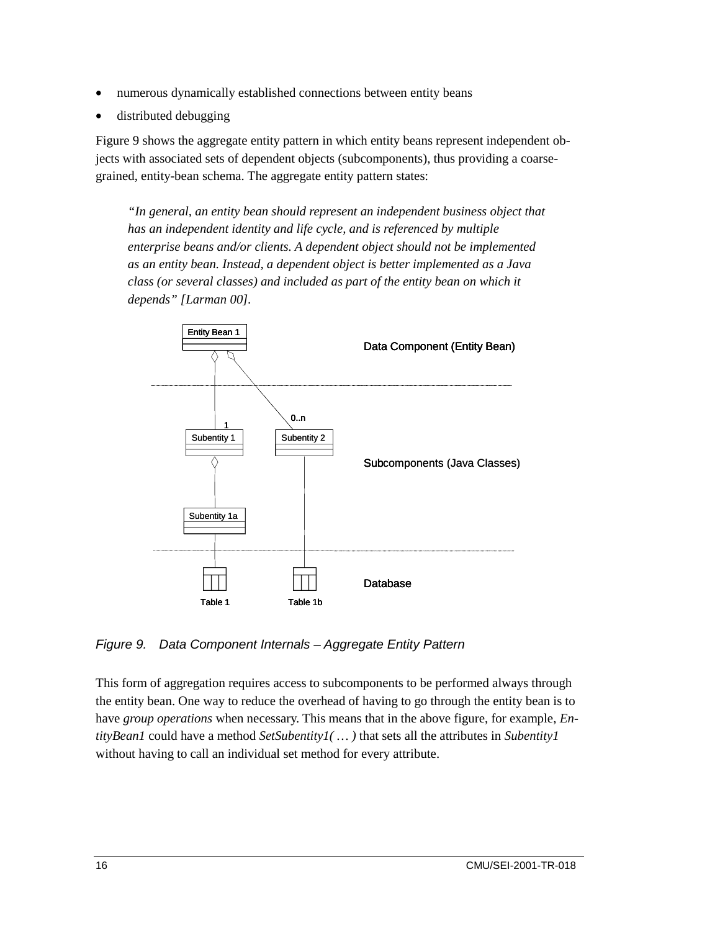- numerous dynamically established connections between entity beans
- distributed debugging

Figure 9 shows the aggregate entity pattern in which entity beans represent independent objects with associated sets of dependent objects (subcomponents), thus providing a coarsegrained, entity-bean schema. The aggregate entity pattern states:

*"In general, an entity bean should represent an independent business object that has an independent identity and life cycle, and is referenced by multiple enterprise beans and/or clients. A dependent object should not be implemented as an entity bean. Instead, a dependent object is better implemented as a Java class (or several classes) and included as part of the entity bean on which it depends" [Larman 00].* 



*Figure 9. Data Component Internals – Aggregate Entity Pattern* 

This form of aggregation requires access to subcomponents to be performed always through the entity bean. One way to reduce the overhead of having to go through the entity bean is to have *group operations* when necessary. This means that in the above figure, for example, *EntityBean1* could have a method *SetSubentity1( … )* that sets all the attributes in *Subentity1* without having to call an individual set method for every attribute.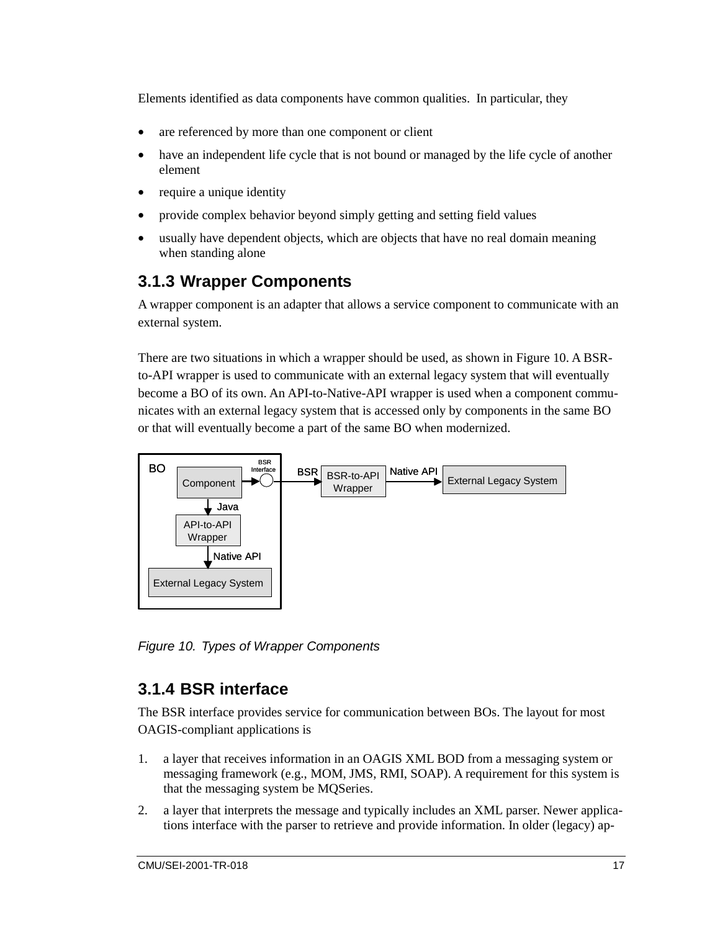Elements identified as data components have common qualities. In particular, they

- are referenced by more than one component or client
- have an independent life cycle that is not bound or managed by the life cycle of another element
- require a unique identity
- provide complex behavior beyond simply getting and setting field values
- usually have dependent objects, which are objects that have no real domain meaning when standing alone

### **3.1.3 Wrapper Components**

A wrapper component is an adapter that allows a service component to communicate with an external system.

There are two situations in which a wrapper should be used, as shown in Figure 10. A BSRto-API wrapper is used to communicate with an external legacy system that will eventually become a BO of its own. An API-to-Native-API wrapper is used when a component communicates with an external legacy system that is accessed only by components in the same BO or that will eventually become a part of the same BO when modernized.



*Figure 10. Types of Wrapper Components* 

#### **3.1.4 BSR interface**

The BSR interface provides service for communication between BOs. The layout for most OAGIS-compliant applications is

- 1. a layer that receives information in an OAGIS XML BOD from a messaging system or messaging framework (e.g., MOM, JMS, RMI, SOAP). A requirement for this system is that the messaging system be MQSeries.
- 2. a layer that interprets the message and typically includes an XML parser. Newer applications interface with the parser to retrieve and provide information. In older (legacy) ap-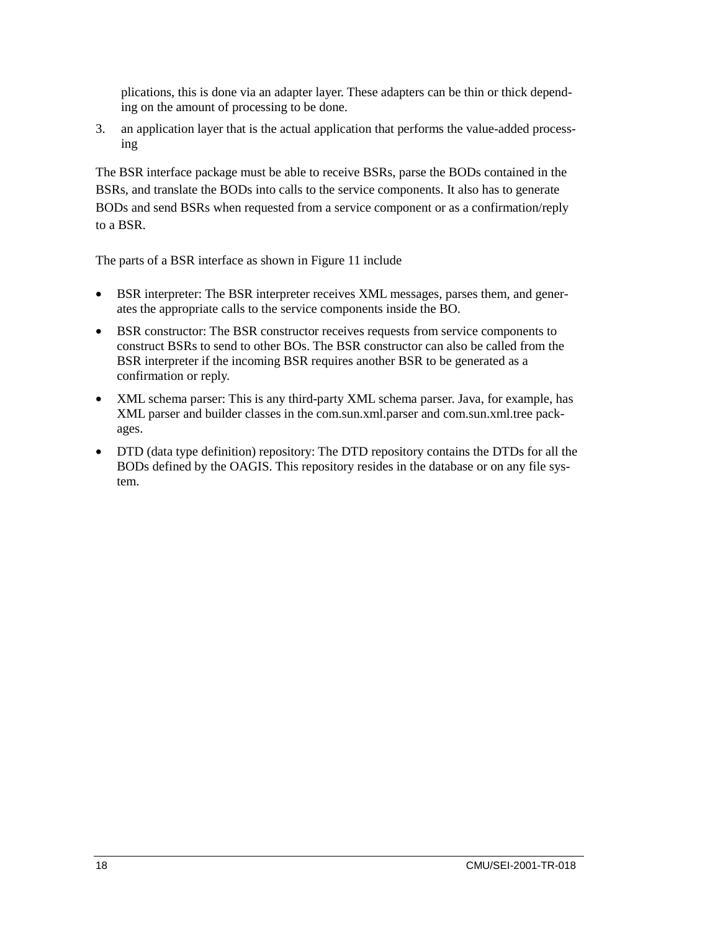plications, this is done via an adapter layer. These adapters can be thin or thick depending on the amount of processing to be done.

3. an application layer that is the actual application that performs the value-added processing

The BSR interface package must be able to receive BSRs, parse the BODs contained in the BSRs, and translate the BODs into calls to the service components. It also has to generate BODs and send BSRs when requested from a service component or as a confirmation/reply to a BSR.

The parts of a BSR interface as shown in Figure 11 include

- BSR interpreter: The BSR interpreter receives XML messages, parses them, and generates the appropriate calls to the service components inside the BO.
- BSR constructor: The BSR constructor receives requests from service components to construct BSRs to send to other BOs. The BSR constructor can also be called from the BSR interpreter if the incoming BSR requires another BSR to be generated as a confirmation or reply.
- XML schema parser: This is any third-party XML schema parser. Java, for example, has XML parser and builder classes in the com.sun.xml.parser and com.sun.xml.tree packages.
- DTD (data type definition) repository: The DTD repository contains the DTDs for all the BODs defined by the OAGIS. This repository resides in the database or on any file system.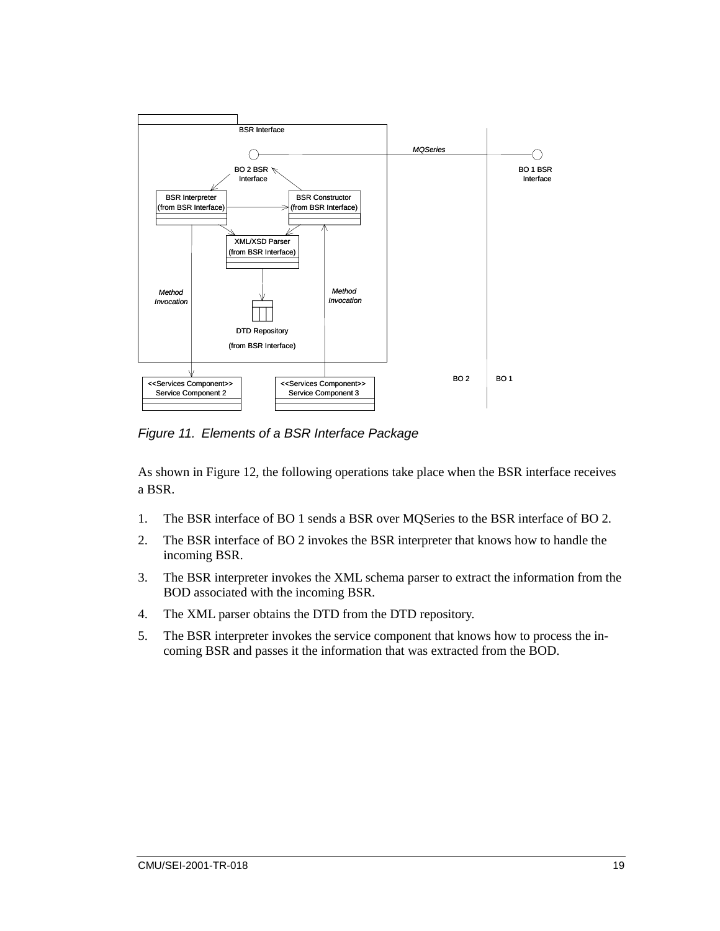

*Figure 11. Elements of a BSR Interface Package* 

As shown in Figure 12, the following operations take place when the BSR interface receives a BSR.

- 1. The BSR interface of BO 1 sends a BSR over MQSeries to the BSR interface of BO 2.
- 2. The BSR interface of BO 2 invokes the BSR interpreter that knows how to handle the incoming BSR.
- 3. The BSR interpreter invokes the XML schema parser to extract the information from the BOD associated with the incoming BSR.
- 4. The XML parser obtains the DTD from the DTD repository.
- 5. The BSR interpreter invokes the service component that knows how to process the incoming BSR and passes it the information that was extracted from the BOD.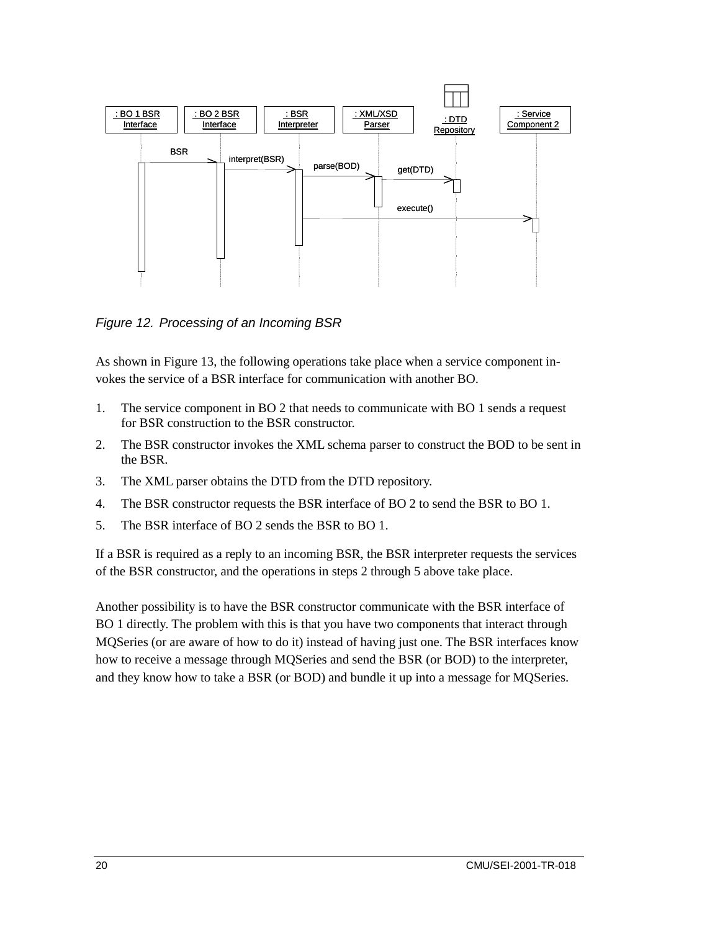

*Figure 12. Processing of an Incoming BSR* 

As shown in Figure 13, the following operations take place when a service component invokes the service of a BSR interface for communication with another BO.

- 1. The service component in BO 2 that needs to communicate with BO 1 sends a request for BSR construction to the BSR constructor.
- 2. The BSR constructor invokes the XML schema parser to construct the BOD to be sent in the BSR.
- 3. The XML parser obtains the DTD from the DTD repository.
- 4. The BSR constructor requests the BSR interface of BO 2 to send the BSR to BO 1.
- 5. The BSR interface of BO 2 sends the BSR to BO 1.

If a BSR is required as a reply to an incoming BSR, the BSR interpreter requests the services of the BSR constructor, and the operations in steps 2 through 5 above take place.

Another possibility is to have the BSR constructor communicate with the BSR interface of BO 1 directly. The problem with this is that you have two components that interact through MQSeries (or are aware of how to do it) instead of having just one. The BSR interfaces know how to receive a message through MQSeries and send the BSR (or BOD) to the interpreter, and they know how to take a BSR (or BOD) and bundle it up into a message for MQSeries.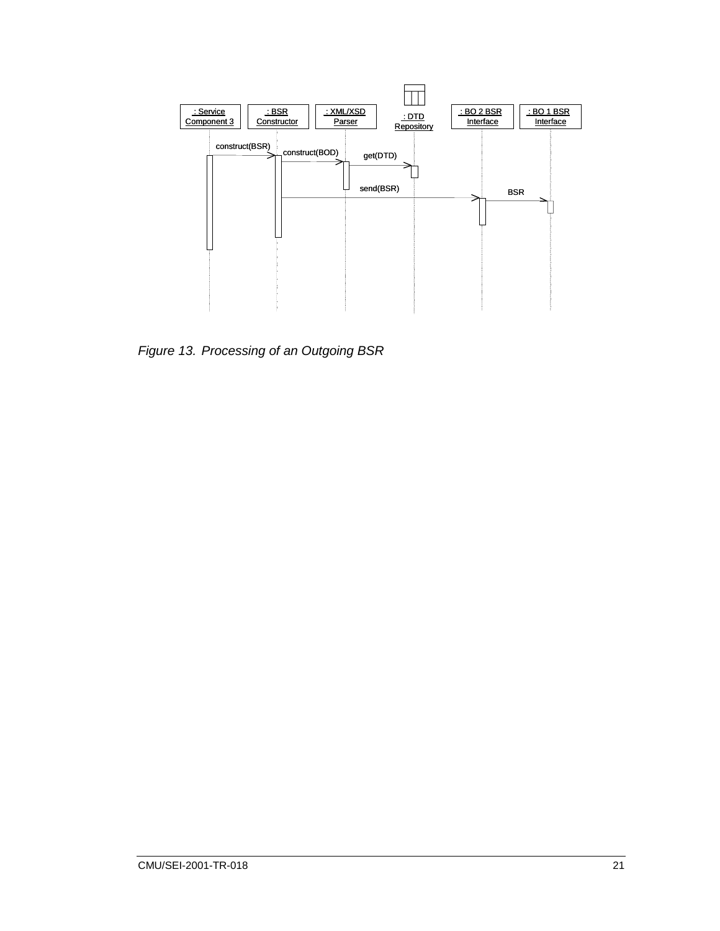

*Figure 13. Processing of an Outgoing BSR*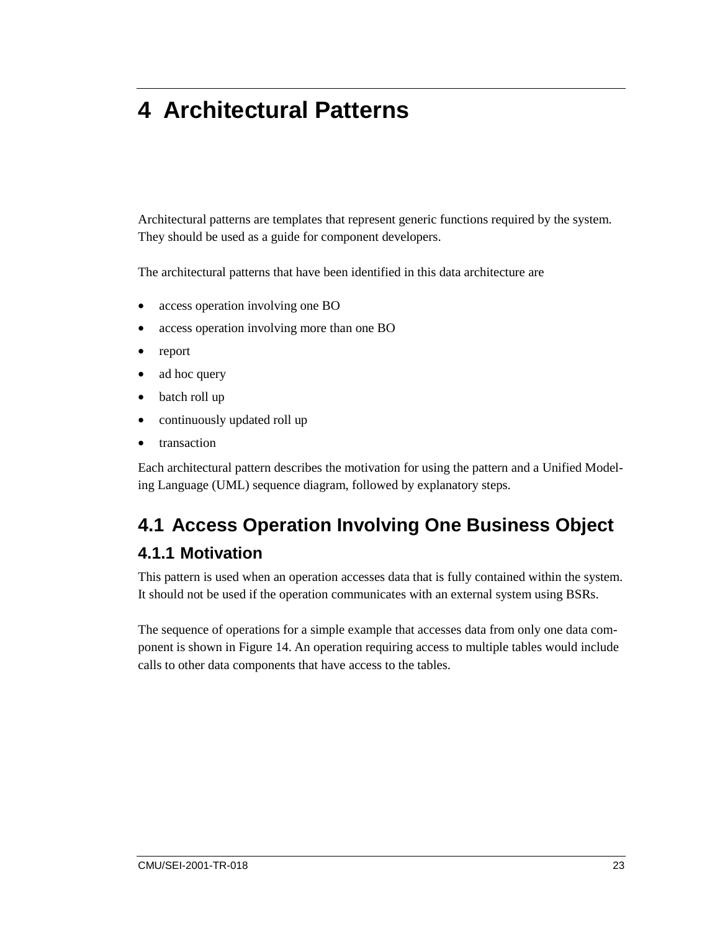# **4 Architectural Patterns**

Architectural patterns are templates that represent generic functions required by the system. They should be used as a guide for component developers.

The architectural patterns that have been identified in this data architecture are

- access operation involving one BO
- access operation involving more than one BO
- report
- ad hoc query
- batch roll up
- continuously updated roll up
- transaction

Each architectural pattern describes the motivation for using the pattern and a Unified Modeling Language (UML) sequence diagram, followed by explanatory steps.

# **4.1 Access Operation Involving One Business Object**

#### **4.1.1 Motivation**

This pattern is used when an operation accesses data that is fully contained within the system. It should not be used if the operation communicates with an external system using BSRs.

The sequence of operations for a simple example that accesses data from only one data component is shown in Figure 14. An operation requiring access to multiple tables would include calls to other data components that have access to the tables.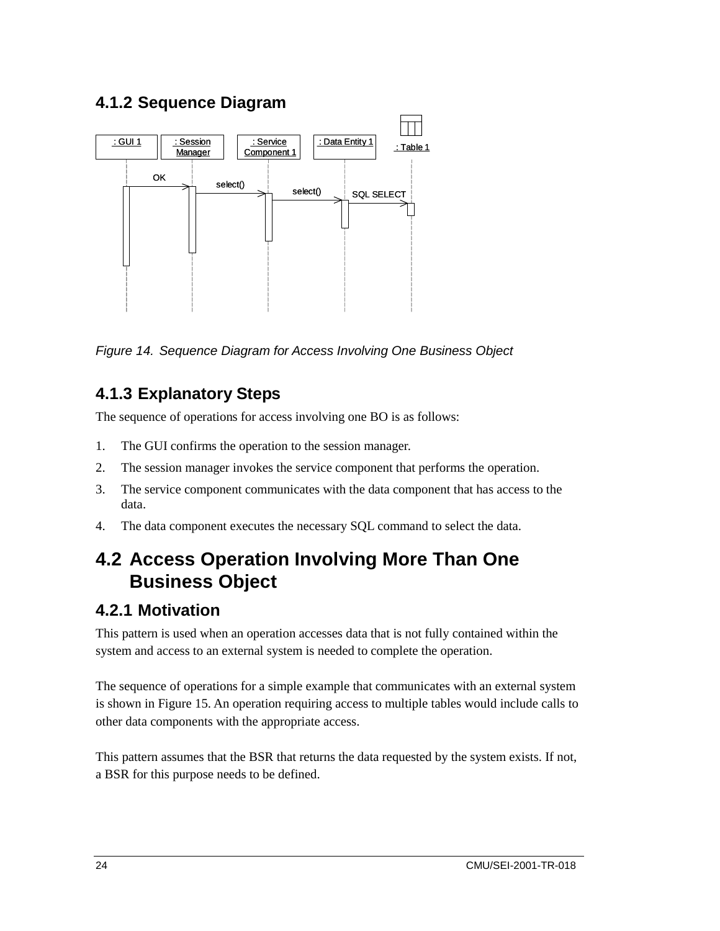### **4.1.2 Sequence Diagram**



*Figure 14. Sequence Diagram for Access Involving One Business Object* 

### **4.1.3 Explanatory Steps**

The sequence of operations for access involving one BO is as follows:

- 1. The GUI confirms the operation to the session manager.
- 2. The session manager invokes the service component that performs the operation.
- 3. The service component communicates with the data component that has access to the data.
- 4. The data component executes the necessary SQL command to select the data.

### **4.2 Access Operation Involving More Than One Business Object**

### **4.2.1 Motivation**

This pattern is used when an operation accesses data that is not fully contained within the system and access to an external system is needed to complete the operation.

The sequence of operations for a simple example that communicates with an external system is shown in Figure 15. An operation requiring access to multiple tables would include calls to other data components with the appropriate access.

This pattern assumes that the BSR that returns the data requested by the system exists. If not, a BSR for this purpose needs to be defined.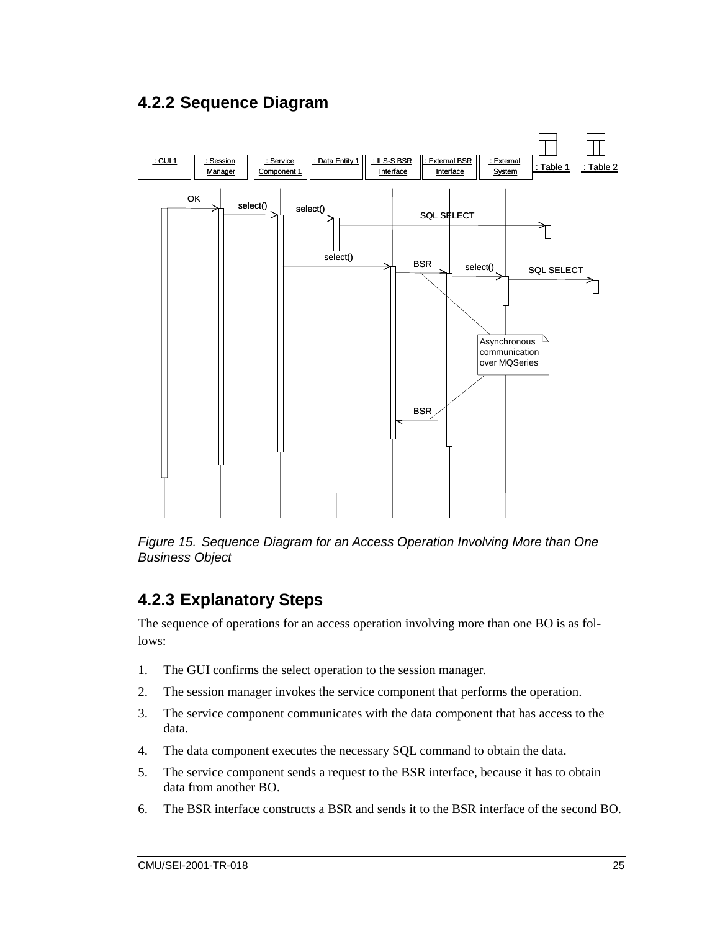#### **4.2.2 Sequence Diagram**



*Figure 15. Sequence Diagram for an Access Operation Involving More than One Business Object* 

### **4.2.3 Explanatory Steps**

The sequence of operations for an access operation involving more than one BO is as follows:

- 1. The GUI confirms the select operation to the session manager.
- 2. The session manager invokes the service component that performs the operation.
- 3. The service component communicates with the data component that has access to the data.
- 4. The data component executes the necessary SQL command to obtain the data.
- 5. The service component sends a request to the BSR interface, because it has to obtain data from another BO.
- 6. The BSR interface constructs a BSR and sends it to the BSR interface of the second BO.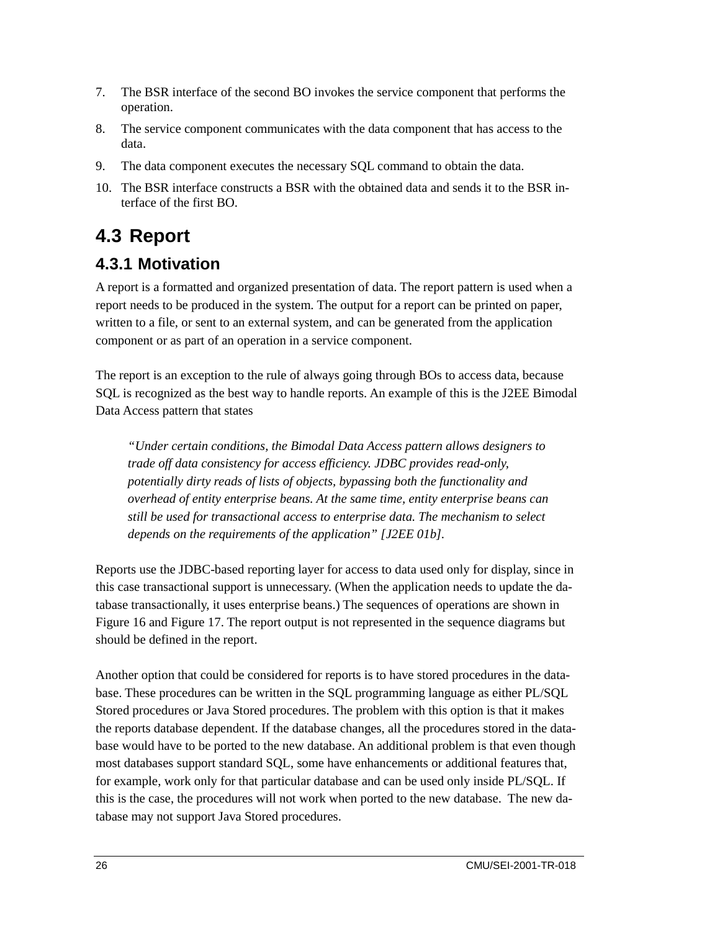- 7. The BSR interface of the second BO invokes the service component that performs the operation.
- 8. The service component communicates with the data component that has access to the data.
- 9. The data component executes the necessary SQL command to obtain the data.
- 10. The BSR interface constructs a BSR with the obtained data and sends it to the BSR interface of the first BO.

# **4.3 Report**

#### **4.3.1 Motivation**

A report is a formatted and organized presentation of data. The report pattern is used when a report needs to be produced in the system. The output for a report can be printed on paper, written to a file, or sent to an external system, and can be generated from the application component or as part of an operation in a service component.

The report is an exception to the rule of always going through BOs to access data, because SQL is recognized as the best way to handle reports. An example of this is the J2EE Bimodal Data Access pattern that states

*"Under certain conditions, the Bimodal Data Access pattern allows designers to trade off data consistency for access efficiency. JDBC provides read-only, potentially dirty reads of lists of objects, bypassing both the functionality and overhead of entity enterprise beans. At the same time, entity enterprise beans can still be used for transactional access to enterprise data. The mechanism to select depends on the requirements of the application" [J2EE 01b].* 

Reports use the JDBC-based reporting layer for access to data used only for display, since in this case transactional support is unnecessary. (When the application needs to update the database transactionally, it uses enterprise beans.) The sequences of operations are shown in Figure 16 and Figure 17. The report output is not represented in the sequence diagrams but should be defined in the report.

Another option that could be considered for reports is to have stored procedures in the database. These procedures can be written in the SQL programming language as either PL/SQL Stored procedures or Java Stored procedures. The problem with this option is that it makes the reports database dependent. If the database changes, all the procedures stored in the database would have to be ported to the new database. An additional problem is that even though most databases support standard SQL, some have enhancements or additional features that, for example, work only for that particular database and can be used only inside PL/SQL. If this is the case, the procedures will not work when ported to the new database. The new database may not support Java Stored procedures.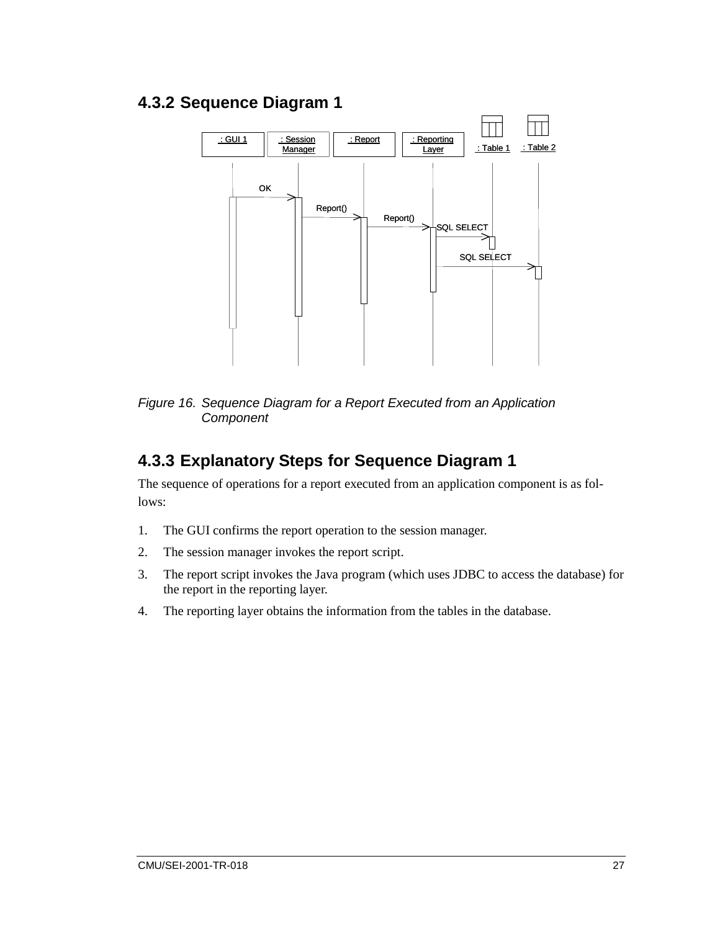### **4.3.2 Sequence Diagram 1**



*Figure 16. Sequence Diagram for a Report Executed from an Application Component* 

### **4.3.3 Explanatory Steps for Sequence Diagram 1**

The sequence of operations for a report executed from an application component is as follows:

- 1. The GUI confirms the report operation to the session manager.
- 2. The session manager invokes the report script.
- 3. The report script invokes the Java program (which uses JDBC to access the database) for the report in the reporting layer.
- 4. The reporting layer obtains the information from the tables in the database.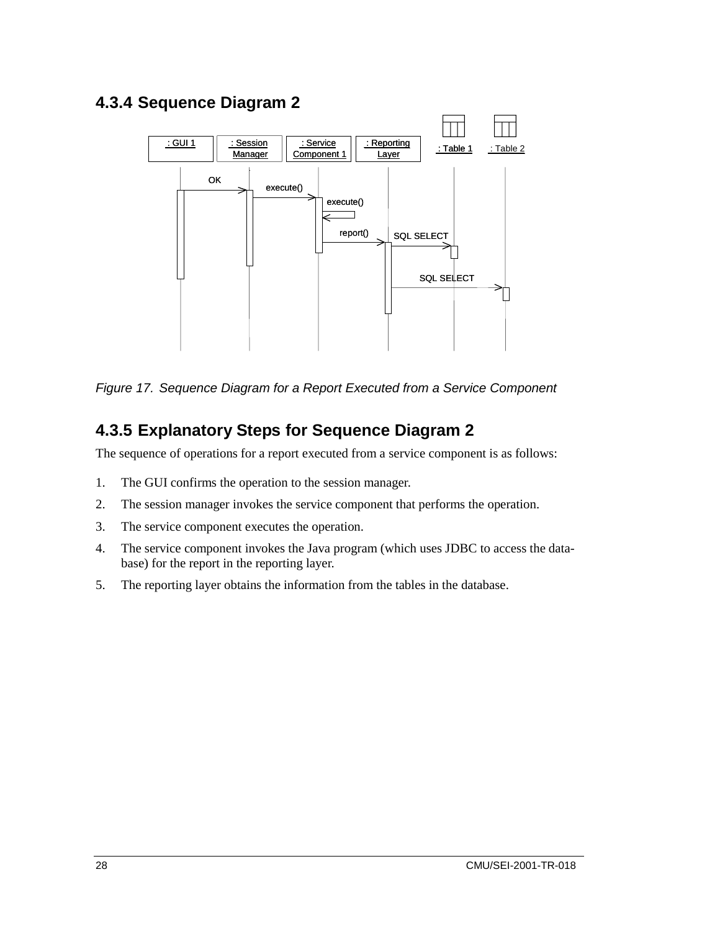### **4.3.4 Sequence Diagram 2**



*Figure 17. Sequence Diagram for a Report Executed from a Service Component* 

### **4.3.5 Explanatory Steps for Sequence Diagram 2**

The sequence of operations for a report executed from a service component is as follows:

- 1. The GUI confirms the operation to the session manager.
- 2. The session manager invokes the service component that performs the operation.
- 3. The service component executes the operation.
- 4. The service component invokes the Java program (which uses JDBC to access the database) for the report in the reporting layer.
- 5. The reporting layer obtains the information from the tables in the database.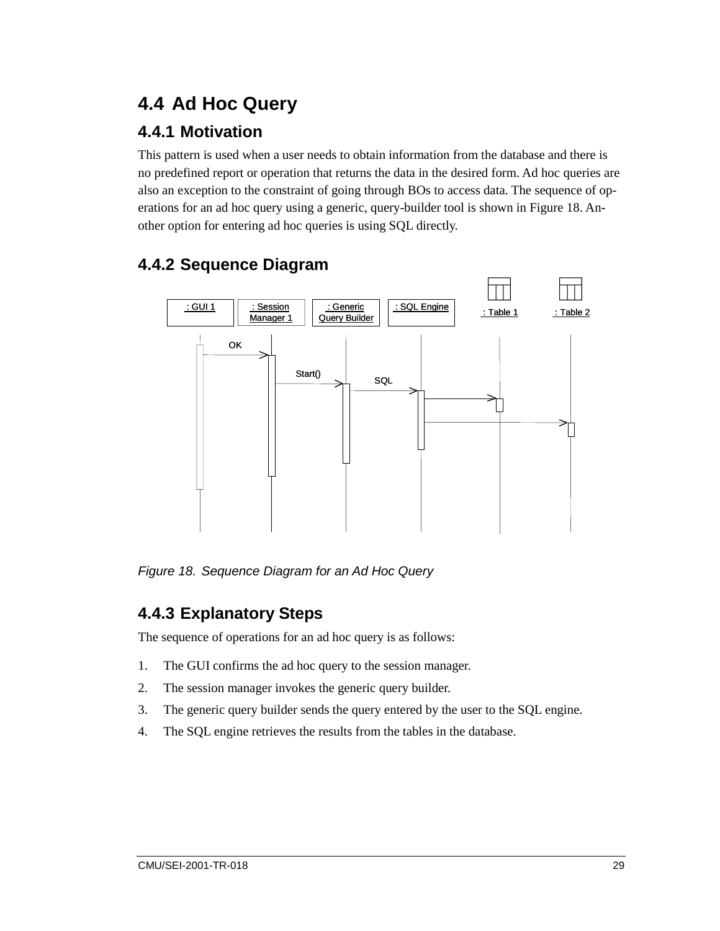## **4.4 Ad Hoc Query**

### **4.4.1 Motivation**

This pattern is used when a user needs to obtain information from the database and there is no predefined report or operation that returns the data in the desired form. Ad hoc queries are also an exception to the constraint of going through BOs to access data. The sequence of operations for an ad hoc query using a generic, query-builder tool is shown in Figure 18. Another option for entering ad hoc queries is using SQL directly.

### **4.4.2 Sequence Diagram**



*Figure 18. Sequence Diagram for an Ad Hoc Query* 

### **4.4.3 Explanatory Steps**

The sequence of operations for an ad hoc query is as follows:

- 1. The GUI confirms the ad hoc query to the session manager.
- 2. The session manager invokes the generic query builder.
- 3. The generic query builder sends the query entered by the user to the SQL engine.
- 4. The SQL engine retrieves the results from the tables in the database.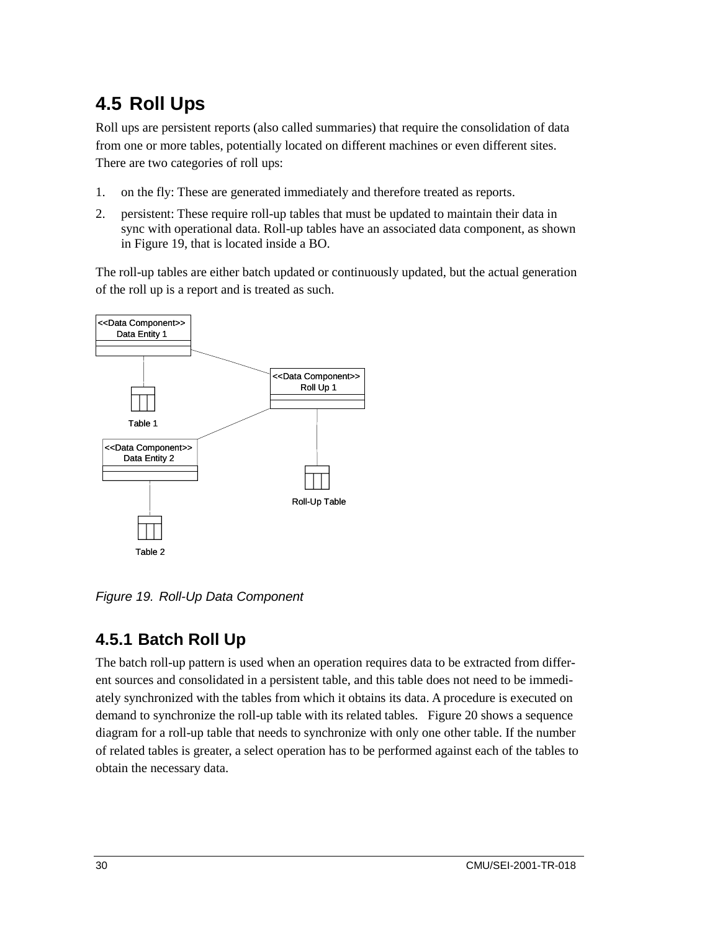## **4.5 Roll Ups**

Roll ups are persistent reports (also called summaries) that require the consolidation of data from one or more tables, potentially located on different machines or even different sites. There are two categories of roll ups:

- 1. on the fly: These are generated immediately and therefore treated as reports.
- 2. persistent: These require roll-up tables that must be updated to maintain their data in sync with operational data. Roll-up tables have an associated data component, as shown in Figure 19, that is located inside a BO.

The roll-up tables are either batch updated or continuously updated, but the actual generation of the roll up is a report and is treated as such.



*Figure 19. Roll-Up Data Component* 

### **4.5.1 Batch Roll Up**

The batch roll-up pattern is used when an operation requires data to be extracted from different sources and consolidated in a persistent table, and this table does not need to be immediately synchronized with the tables from which it obtains its data. A procedure is executed on demand to synchronize the roll-up table with its related tables. Figure 20 shows a sequence diagram for a roll-up table that needs to synchronize with only one other table. If the number of related tables is greater, a select operation has to be performed against each of the tables to obtain the necessary data.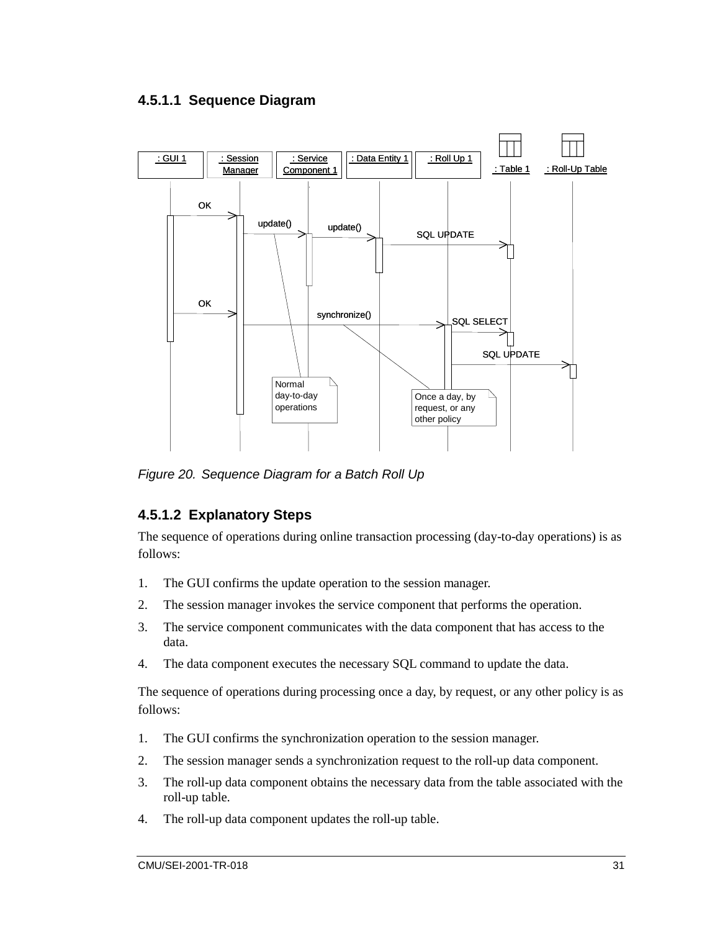#### **4.5.1.1 Sequence Diagram**



*Figure 20. Sequence Diagram for a Batch Roll Up* 

#### **4.5.1.2 Explanatory Steps**

The sequence of operations during online transaction processing (day-to-day operations) is as follows:

- 1. The GUI confirms the update operation to the session manager.
- 2. The session manager invokes the service component that performs the operation.
- 3. The service component communicates with the data component that has access to the data.
- 4. The data component executes the necessary SQL command to update the data.

The sequence of operations during processing once a day, by request, or any other policy is as follows:

- 1. The GUI confirms the synchronization operation to the session manager.
- 2. The session manager sends a synchronization request to the roll-up data component.
- 3. The roll-up data component obtains the necessary data from the table associated with the roll-up table.
- 4. The roll-up data component updates the roll-up table.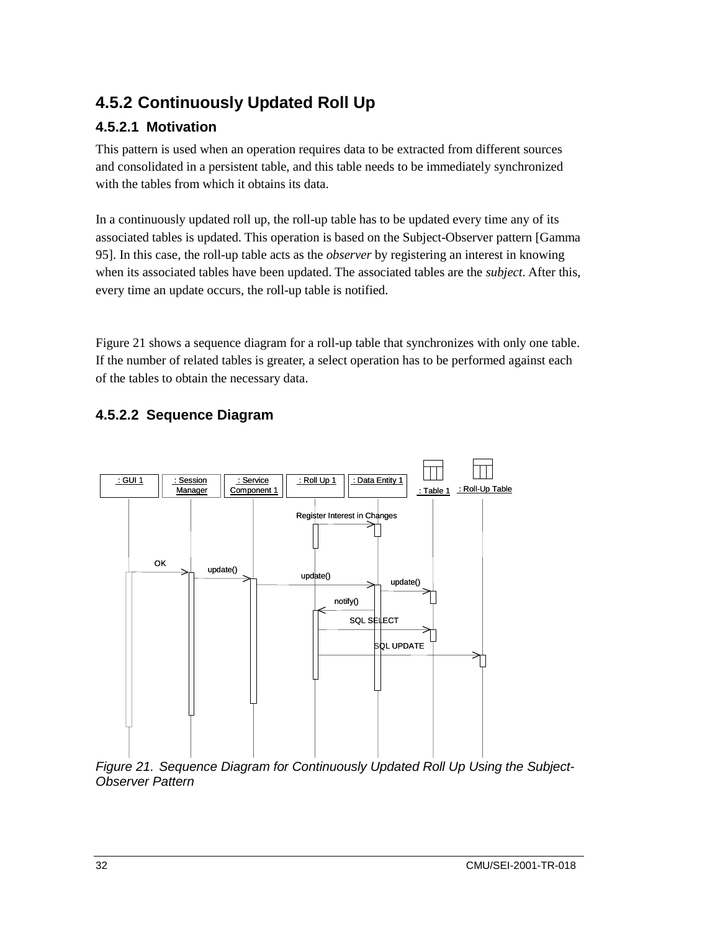### **4.5.2 Continuously Updated Roll Up**

### **4.5.2.1 Motivation**

This pattern is used when an operation requires data to be extracted from different sources and consolidated in a persistent table, and this table needs to be immediately synchronized with the tables from which it obtains its data.

In a continuously updated roll up, the roll-up table has to be updated every time any of its associated tables is updated. This operation is based on the Subject-Observer pattern [Gamma 95]. In this case, the roll-up table acts as the *observer* by registering an interest in knowing when its associated tables have been updated. The associated tables are the *subject*. After this, every time an update occurs, the roll-up table is notified.

Figure 21 shows a sequence diagram for a roll-up table that synchronizes with only one table. If the number of related tables is greater, a select operation has to be performed against each of the tables to obtain the necessary data.



### **4.5.2.2 Sequence Diagram**

*Figure 21. Sequence Diagram for Continuously Updated Roll Up Using the Subject-Observer Pattern*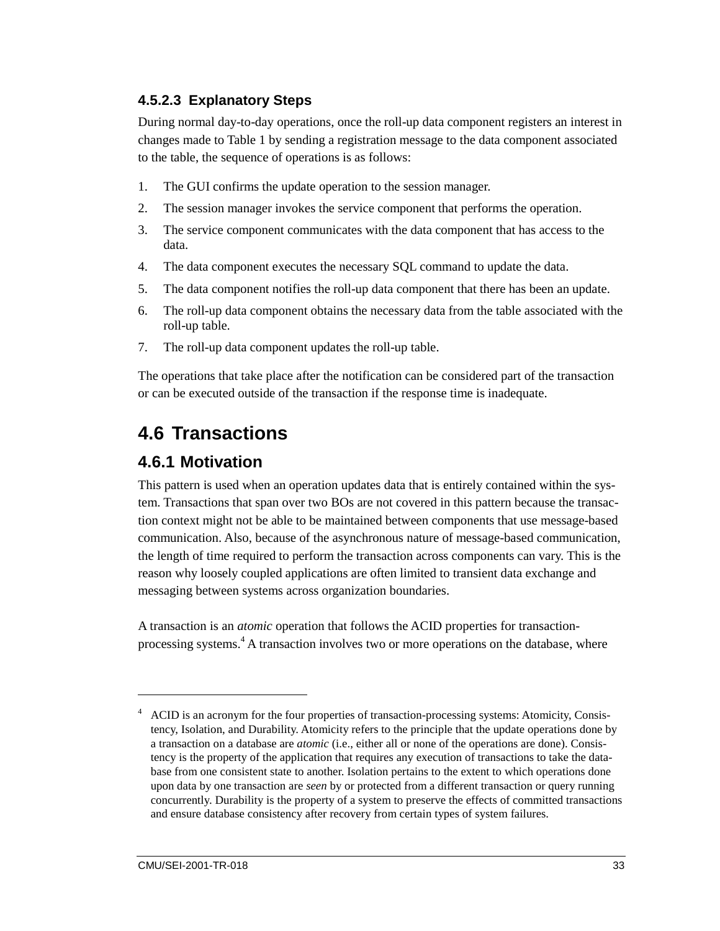#### **4.5.2.3 Explanatory Steps**

During normal day-to-day operations, once the roll-up data component registers an interest in changes made to Table 1 by sending a registration message to the data component associated to the table, the sequence of operations is as follows:

- 1. The GUI confirms the update operation to the session manager.
- 2. The session manager invokes the service component that performs the operation.
- 3. The service component communicates with the data component that has access to the data.
- 4. The data component executes the necessary SQL command to update the data.
- 5. The data component notifies the roll-up data component that there has been an update.
- 6. The roll-up data component obtains the necessary data from the table associated with the roll-up table.
- 7. The roll-up data component updates the roll-up table.

The operations that take place after the notification can be considered part of the transaction or can be executed outside of the transaction if the response time is inadequate.

## **4.6 Transactions**

### **4.6.1 Motivation**

This pattern is used when an operation updates data that is entirely contained within the system. Transactions that span over two BOs are not covered in this pattern because the transaction context might not be able to be maintained between components that use message-based communication. Also, because of the asynchronous nature of message-based communication, the length of time required to perform the transaction across components can vary. This is the reason why loosely coupled applications are often limited to transient data exchange and messaging between systems across organization boundaries.

A transaction is an *atomic* operation that follows the ACID properties for transactionprocessing systems.<sup>4</sup> A transaction involves two or more operations on the database, where

 $\overline{a}$ 

<sup>4</sup> ACID is an acronym for the four properties of transaction-processing systems: Atomicity, Consistency, Isolation, and Durability. Atomicity refers to the principle that the update operations done by a transaction on a database are *atomic* (i.e., either all or none of the operations are done). Consistency is the property of the application that requires any execution of transactions to take the database from one consistent state to another. Isolation pertains to the extent to which operations done upon data by one transaction are *seen* by or protected from a different transaction or query running concurrently. Durability is the property of a system to preserve the effects of committed transactions and ensure database consistency after recovery from certain types of system failures.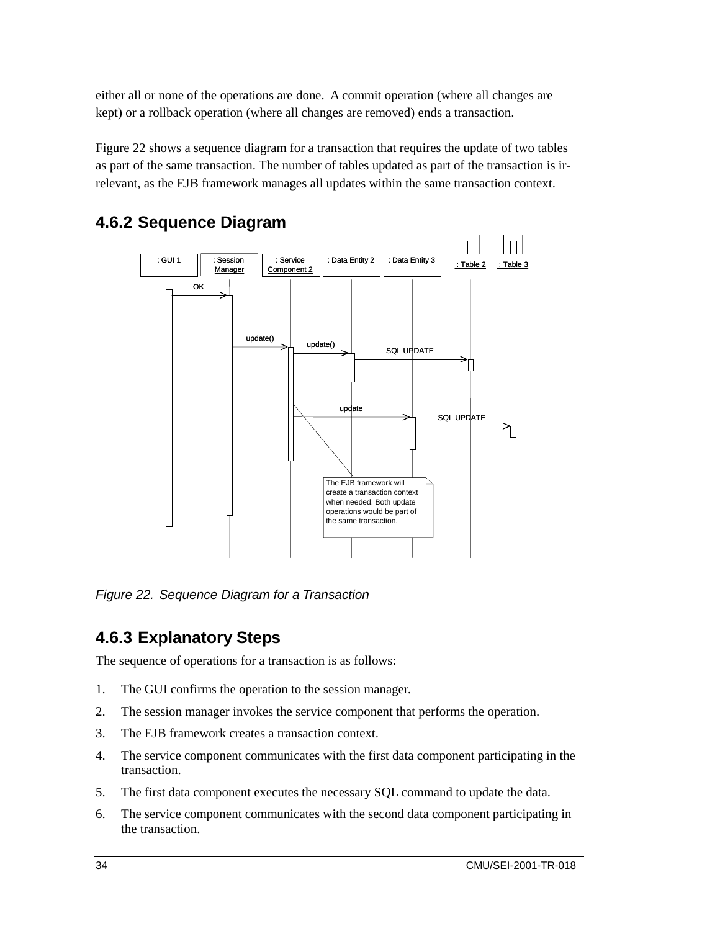either all or none of the operations are done. A commit operation (where all changes are kept) or a rollback operation (where all changes are removed) ends a transaction.

Figure 22 shows a sequence diagram for a transaction that requires the update of two tables as part of the same transaction. The number of tables updated as part of the transaction is irrelevant, as the EJB framework manages all updates within the same transaction context.



### **4.6.2 Sequence Diagram**

*Figure 22. Sequence Diagram for a Transaction* 

### **4.6.3 Explanatory Steps**

The sequence of operations for a transaction is as follows:

- 1. The GUI confirms the operation to the session manager.
- 2. The session manager invokes the service component that performs the operation.
- 3. The EJB framework creates a transaction context.
- 4. The service component communicates with the first data component participating in the transaction.
- 5. The first data component executes the necessary SQL command to update the data.
- 6. The service component communicates with the second data component participating in the transaction.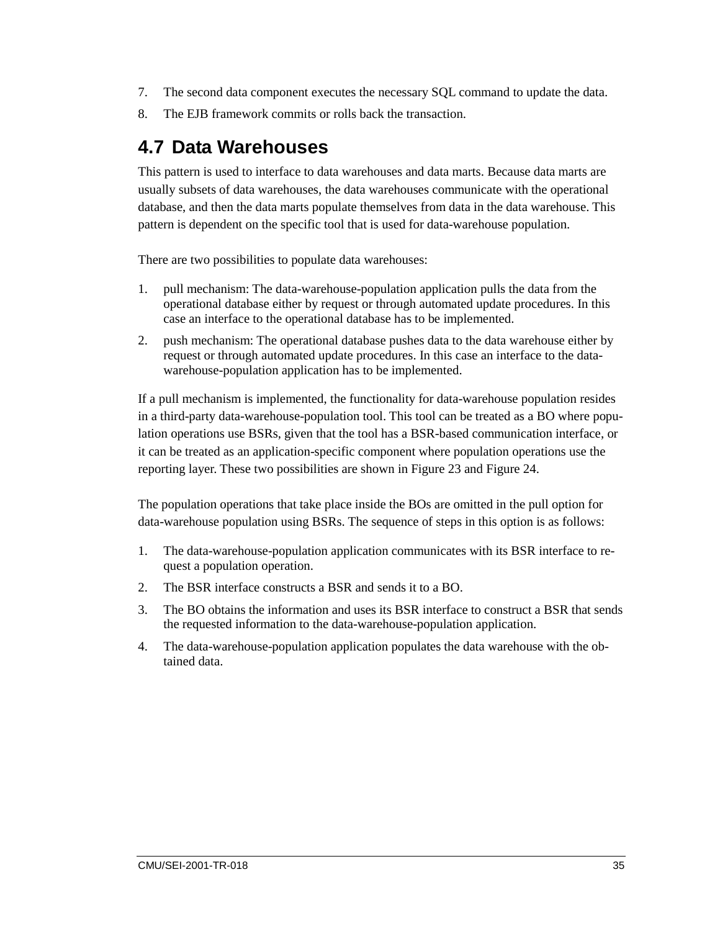- 7. The second data component executes the necessary SQL command to update the data.
- 8. The EJB framework commits or rolls back the transaction.

## **4.7 Data Warehouses**

This pattern is used to interface to data warehouses and data marts. Because data marts are usually subsets of data warehouses, the data warehouses communicate with the operational database, and then the data marts populate themselves from data in the data warehouse. This pattern is dependent on the specific tool that is used for data-warehouse population.

There are two possibilities to populate data warehouses:

- 1. pull mechanism: The data-warehouse-population application pulls the data from the operational database either by request or through automated update procedures. In this case an interface to the operational database has to be implemented.
- 2. push mechanism: The operational database pushes data to the data warehouse either by request or through automated update procedures. In this case an interface to the datawarehouse-population application has to be implemented.

If a pull mechanism is implemented, the functionality for data-warehouse population resides in a third-party data-warehouse-population tool. This tool can be treated as a BO where population operations use BSRs, given that the tool has a BSR-based communication interface, or it can be treated as an application-specific component where population operations use the reporting layer. These two possibilities are shown in Figure 23 and Figure 24.

The population operations that take place inside the BOs are omitted in the pull option for data-warehouse population using BSRs. The sequence of steps in this option is as follows:

- 1. The data-warehouse-population application communicates with its BSR interface to request a population operation.
- 2. The BSR interface constructs a BSR and sends it to a BO.
- 3. The BO obtains the information and uses its BSR interface to construct a BSR that sends the requested information to the data-warehouse-population application.
- 4. The data-warehouse-population application populates the data warehouse with the obtained data.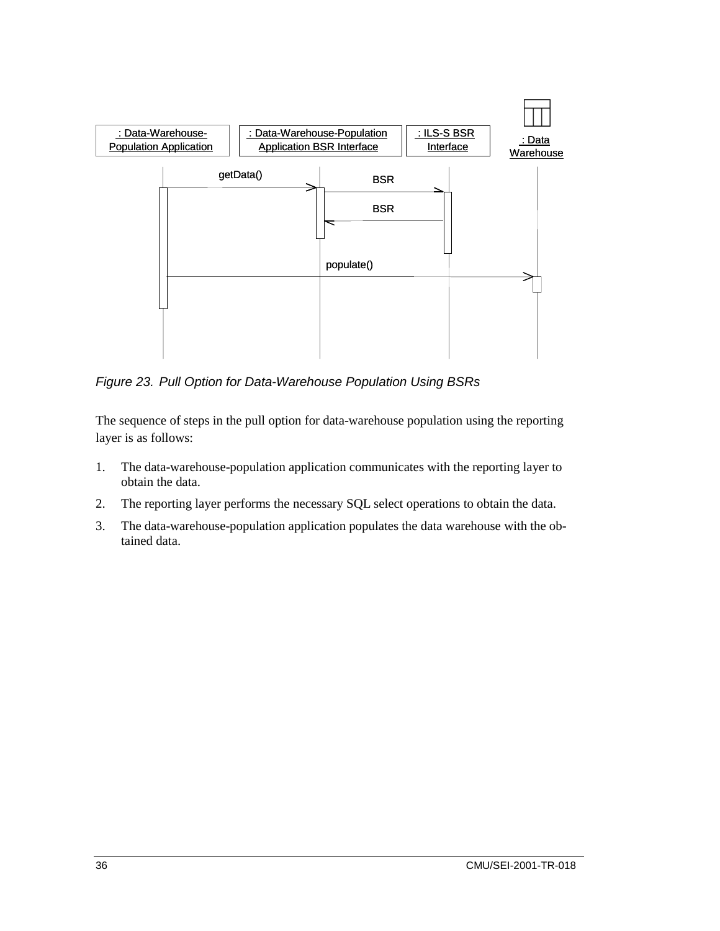

*Figure 23. Pull Option for Data-Warehouse Population Using BSRs* 

The sequence of steps in the pull option for data-warehouse population using the reporting layer is as follows:

- 1. The data-warehouse-population application communicates with the reporting layer to obtain the data.
- 2. The reporting layer performs the necessary SQL select operations to obtain the data.
- 3. The data-warehouse-population application populates the data warehouse with the obtained data.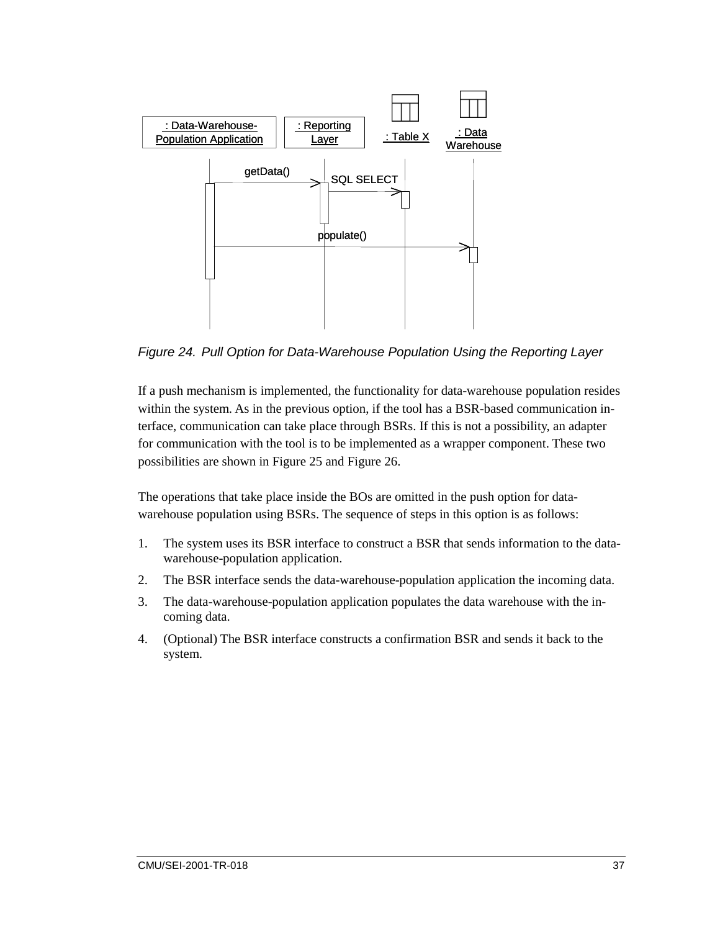

*Figure 24. Pull Option for Data-Warehouse Population Using the Reporting Layer* 

If a push mechanism is implemented, the functionality for data-warehouse population resides within the system. As in the previous option, if the tool has a BSR-based communication interface, communication can take place through BSRs. If this is not a possibility, an adapter for communication with the tool is to be implemented as a wrapper component. These two possibilities are shown in Figure 25 and Figure 26.

The operations that take place inside the BOs are omitted in the push option for datawarehouse population using BSRs. The sequence of steps in this option is as follows:

- 1. The system uses its BSR interface to construct a BSR that sends information to the datawarehouse-population application.
- 2. The BSR interface sends the data-warehouse-population application the incoming data.
- 3. The data-warehouse-population application populates the data warehouse with the incoming data.
- 4. (Optional) The BSR interface constructs a confirmation BSR and sends it back to the system.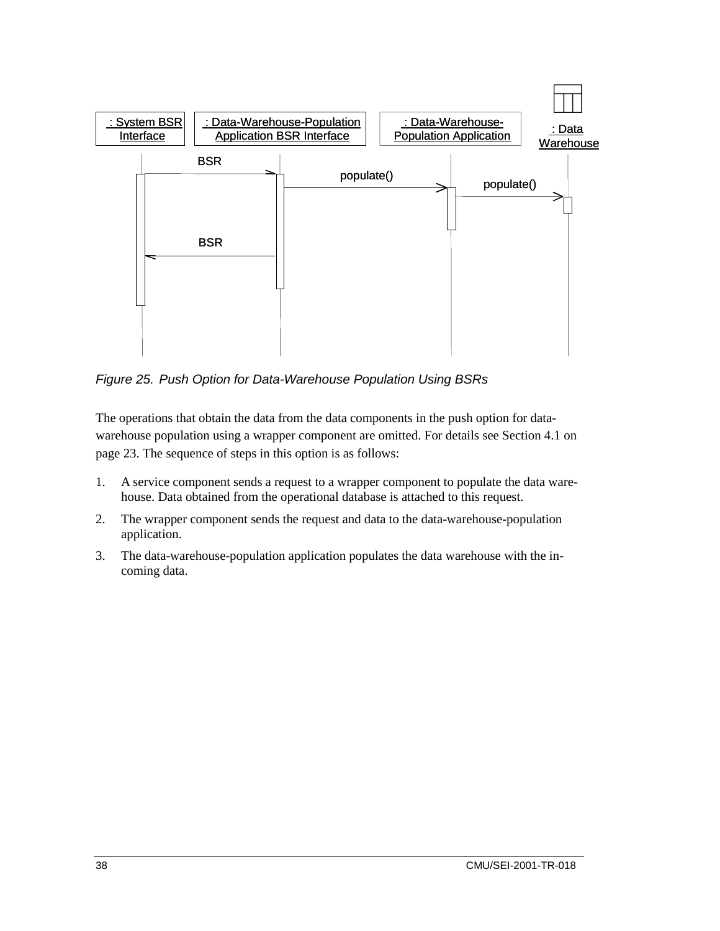

*Figure 25. Push Option for Data-Warehouse Population Using BSRs* 

The operations that obtain the data from the data components in the push option for datawarehouse population using a wrapper component are omitted. For details see Section 4.1 on page 23. The sequence of steps in this option is as follows:

- 1. A service component sends a request to a wrapper component to populate the data warehouse. Data obtained from the operational database is attached to this request.
- 2. The wrapper component sends the request and data to the data-warehouse-population application.
- 3. The data-warehouse-population application populates the data warehouse with the incoming data.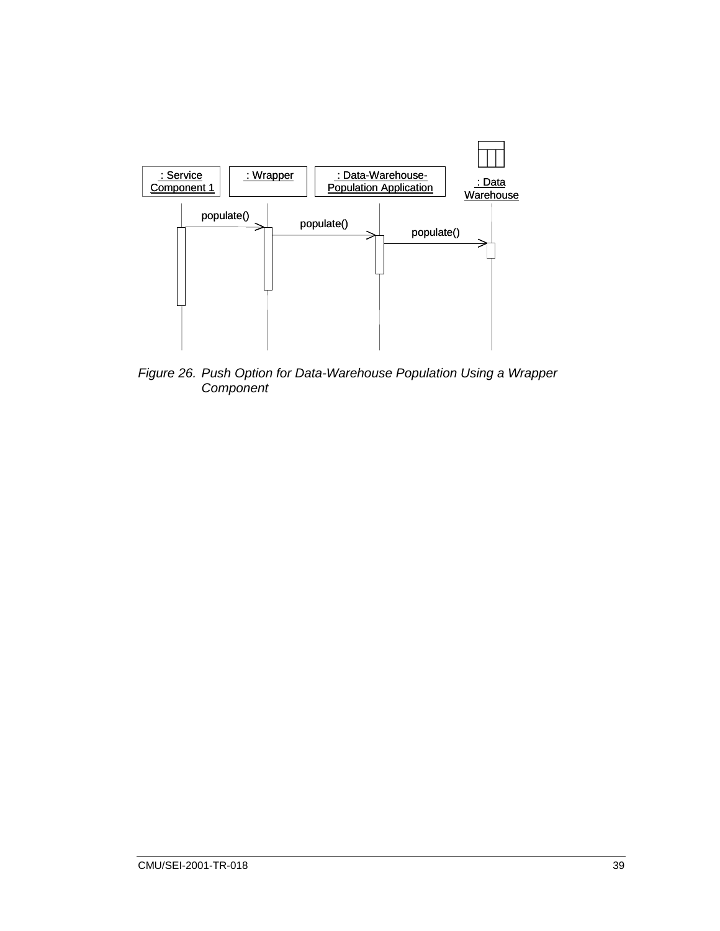

*Figure 26. Push Option for Data-Warehouse Population Using a Wrapper Component*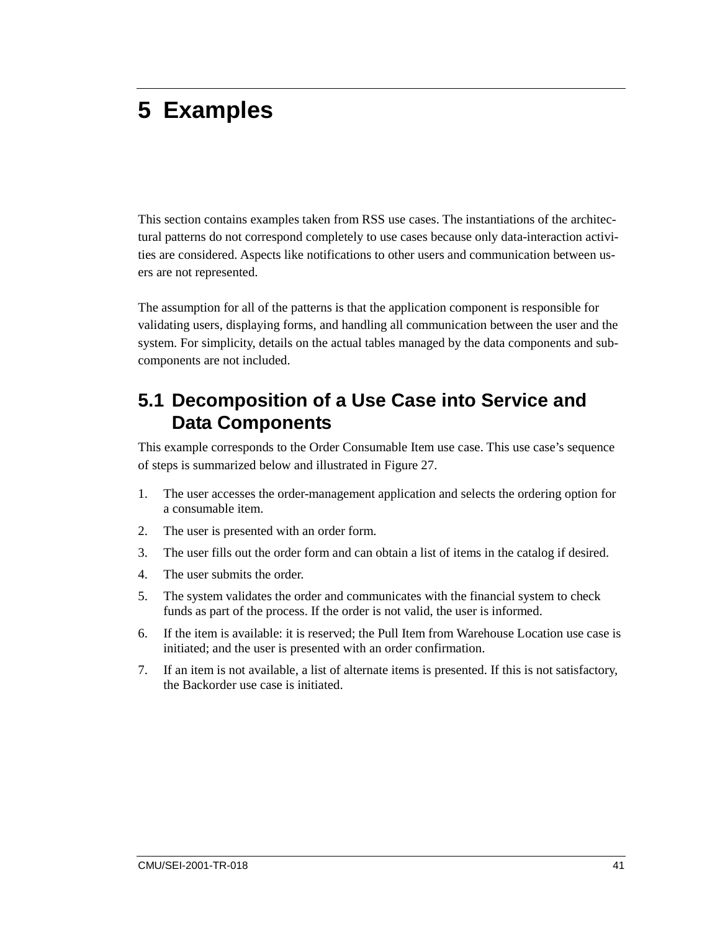# **5 Examples**

This section contains examples taken from RSS use cases. The instantiations of the architectural patterns do not correspond completely to use cases because only data-interaction activities are considered. Aspects like notifications to other users and communication between users are not represented.

The assumption for all of the patterns is that the application component is responsible for validating users, displaying forms, and handling all communication between the user and the system. For simplicity, details on the actual tables managed by the data components and subcomponents are not included.

### **5.1 Decomposition of a Use Case into Service and Data Components**

This example corresponds to the Order Consumable Item use case. This use case's sequence of steps is summarized below and illustrated in Figure 27.

- 1. The user accesses the order-management application and selects the ordering option for a consumable item.
- 2. The user is presented with an order form.
- 3. The user fills out the order form and can obtain a list of items in the catalog if desired.
- 4. The user submits the order.
- 5. The system validates the order and communicates with the financial system to check funds as part of the process. If the order is not valid, the user is informed.
- 6. If the item is available: it is reserved; the Pull Item from Warehouse Location use case is initiated; and the user is presented with an order confirmation.
- 7. If an item is not available, a list of alternate items is presented. If this is not satisfactory, the Backorder use case is initiated.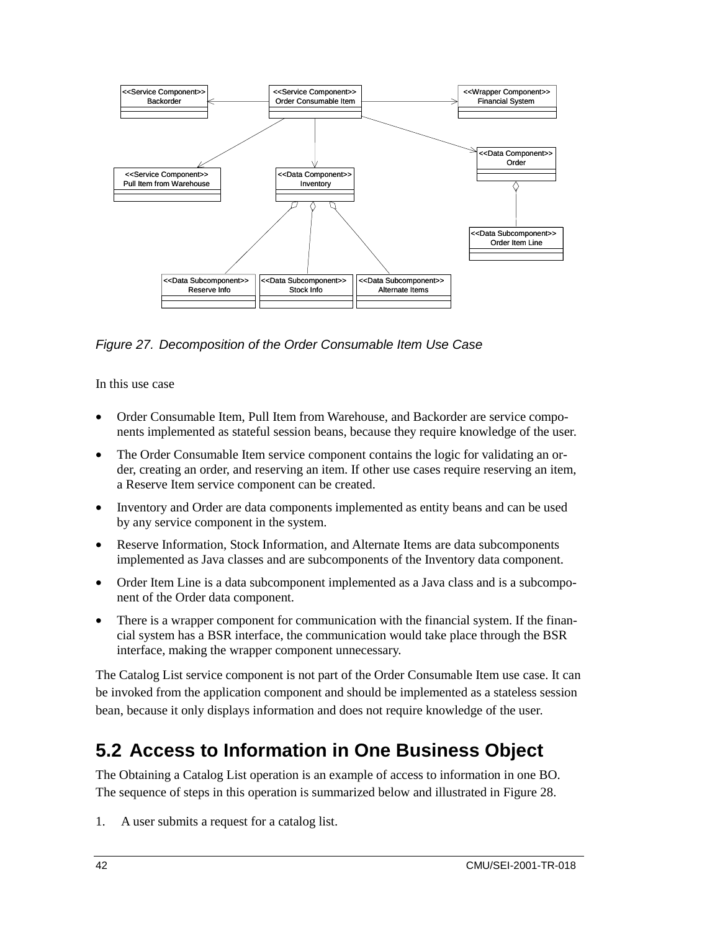

*Figure 27. Decomposition of the Order Consumable Item Use Case* 

In this use case

- Order Consumable Item, Pull Item from Warehouse, and Backorder are service components implemented as stateful session beans, because they require knowledge of the user.
- The Order Consumable Item service component contains the logic for validating an order, creating an order, and reserving an item. If other use cases require reserving an item, a Reserve Item service component can be created.
- Inventory and Order are data components implemented as entity beans and can be used by any service component in the system.
- Reserve Information, Stock Information, and Alternate Items are data subcomponents implemented as Java classes and are subcomponents of the Inventory data component.
- Order Item Line is a data subcomponent implemented as a Java class and is a subcomponent of the Order data component.
- There is a wrapper component for communication with the financial system. If the financial system has a BSR interface, the communication would take place through the BSR interface, making the wrapper component unnecessary.

The Catalog List service component is not part of the Order Consumable Item use case. It can be invoked from the application component and should be implemented as a stateless session bean, because it only displays information and does not require knowledge of the user.

## **5.2 Access to Information in One Business Object**

The Obtaining a Catalog List operation is an example of access to information in one BO. The sequence of steps in this operation is summarized below and illustrated in Figure 28.

1. A user submits a request for a catalog list.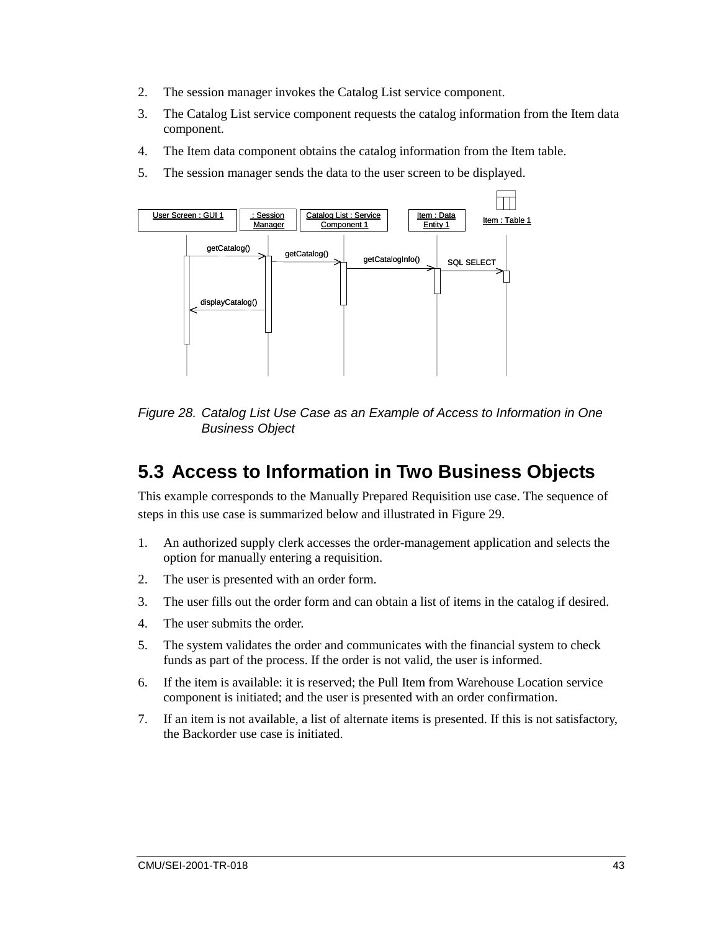- 2. The session manager invokes the Catalog List service component.
- 3. The Catalog List service component requests the catalog information from the Item data component.
- 4. The Item data component obtains the catalog information from the Item table.
- 5. The session manager sends the data to the user screen to be displayed.



*Figure 28. Catalog List Use Case as an Example of Access to Information in One Business Object* 

## **5.3 Access to Information in Two Business Objects**

This example corresponds to the Manually Prepared Requisition use case. The sequence of steps in this use case is summarized below and illustrated in Figure 29.

- 1. An authorized supply clerk accesses the order-management application and selects the option for manually entering a requisition.
- 2. The user is presented with an order form.
- 3. The user fills out the order form and can obtain a list of items in the catalog if desired.
- 4. The user submits the order.
- 5. The system validates the order and communicates with the financial system to check funds as part of the process. If the order is not valid, the user is informed.
- 6. If the item is available: it is reserved; the Pull Item from Warehouse Location service component is initiated; and the user is presented with an order confirmation.
- 7. If an item is not available, a list of alternate items is presented. If this is not satisfactory, the Backorder use case is initiated.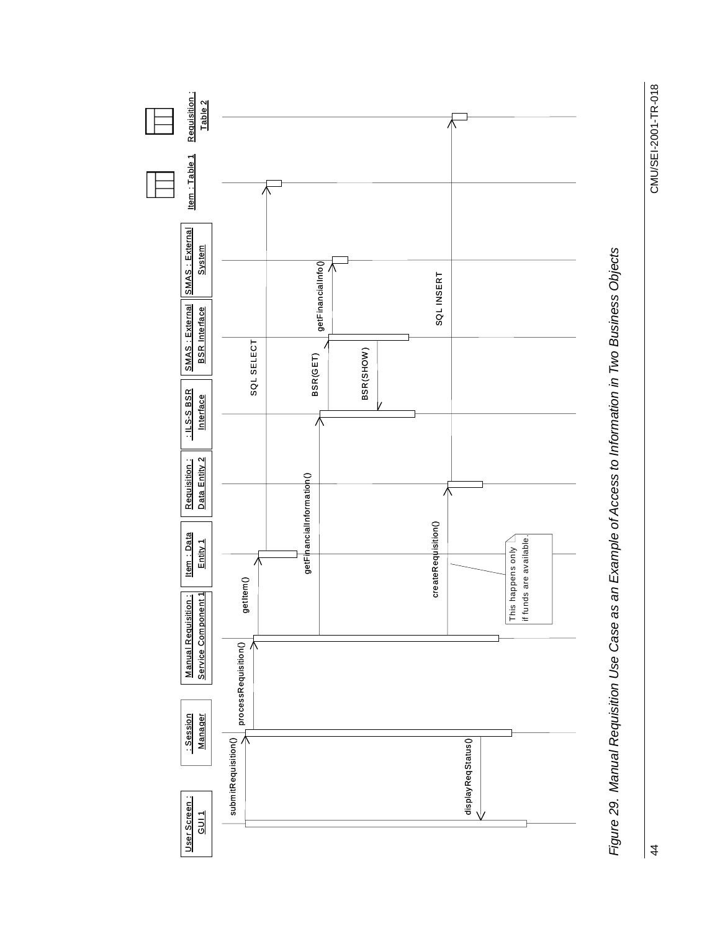

Figure 29. Manual Requisition Use Case as an Example of Access to Information in Two Business Objects *Figure 29. Manual Requisition Use Case as an Example of Access to Information in Two Business Objects*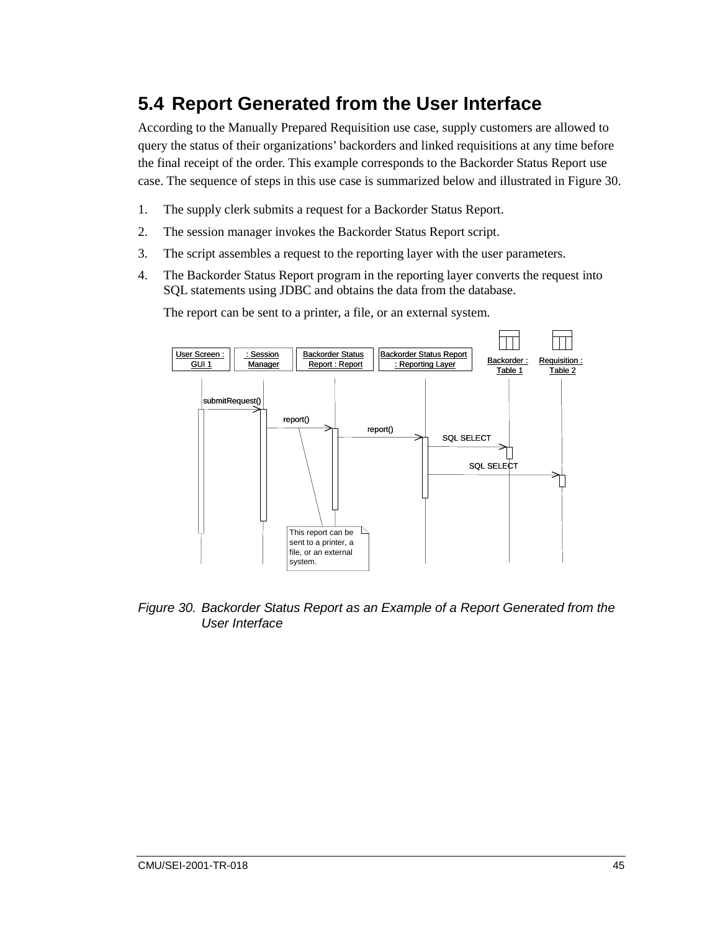## **5.4 Report Generated from the User Interface**

According to the Manually Prepared Requisition use case, supply customers are allowed to query the status of their organizations' backorders and linked requisitions at any time before the final receipt of the order. This example corresponds to the Backorder Status Report use case. The sequence of steps in this use case is summarized below and illustrated in Figure 30.

- 1. The supply clerk submits a request for a Backorder Status Report.
- 2. The session manager invokes the Backorder Status Report script.
- 3. The script assembles a request to the reporting layer with the user parameters.
- 4. The Backorder Status Report program in the reporting layer converts the request into SQL statements using JDBC and obtains the data from the database.

The report can be sent to a printer, a file, or an external system.



*Figure 30. Backorder Status Report as an Example of a Report Generated from the User Interface*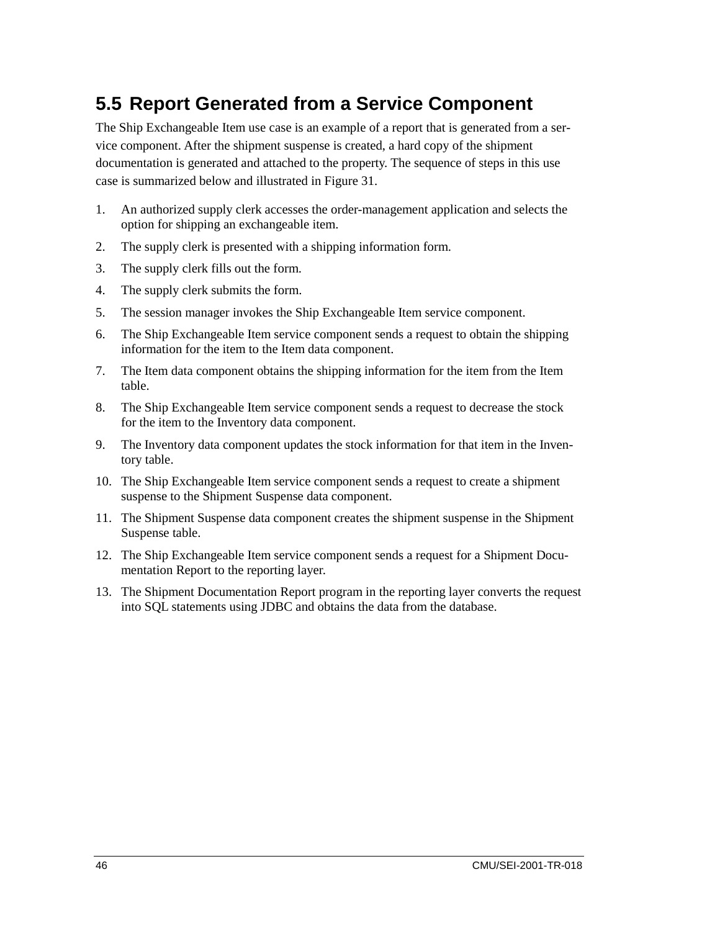## **5.5 Report Generated from a Service Component**

The Ship Exchangeable Item use case is an example of a report that is generated from a service component. After the shipment suspense is created, a hard copy of the shipment documentation is generated and attached to the property. The sequence of steps in this use case is summarized below and illustrated in Figure 31.

- 1. An authorized supply clerk accesses the order-management application and selects the option for shipping an exchangeable item.
- 2. The supply clerk is presented with a shipping information form.
- 3. The supply clerk fills out the form.
- 4. The supply clerk submits the form.
- 5. The session manager invokes the Ship Exchangeable Item service component.
- 6. The Ship Exchangeable Item service component sends a request to obtain the shipping information for the item to the Item data component.
- 7. The Item data component obtains the shipping information for the item from the Item table.
- 8. The Ship Exchangeable Item service component sends a request to decrease the stock for the item to the Inventory data component.
- 9. The Inventory data component updates the stock information for that item in the Inventory table.
- 10. The Ship Exchangeable Item service component sends a request to create a shipment suspense to the Shipment Suspense data component.
- 11. The Shipment Suspense data component creates the shipment suspense in the Shipment Suspense table.
- 12. The Ship Exchangeable Item service component sends a request for a Shipment Documentation Report to the reporting layer.
- 13. The Shipment Documentation Report program in the reporting layer converts the request into SQL statements using JDBC and obtains the data from the database.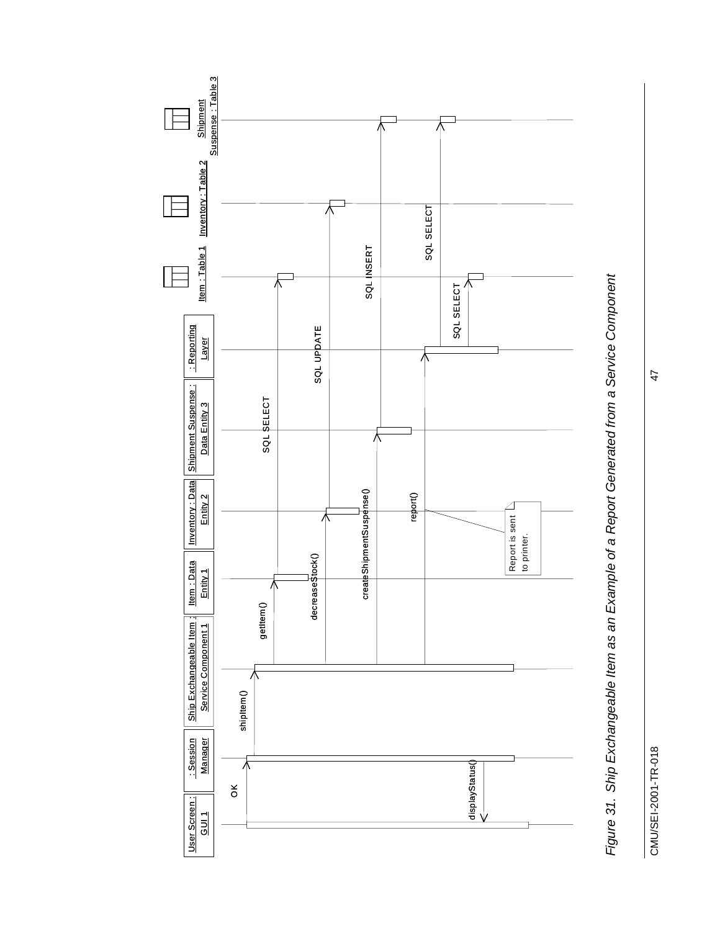

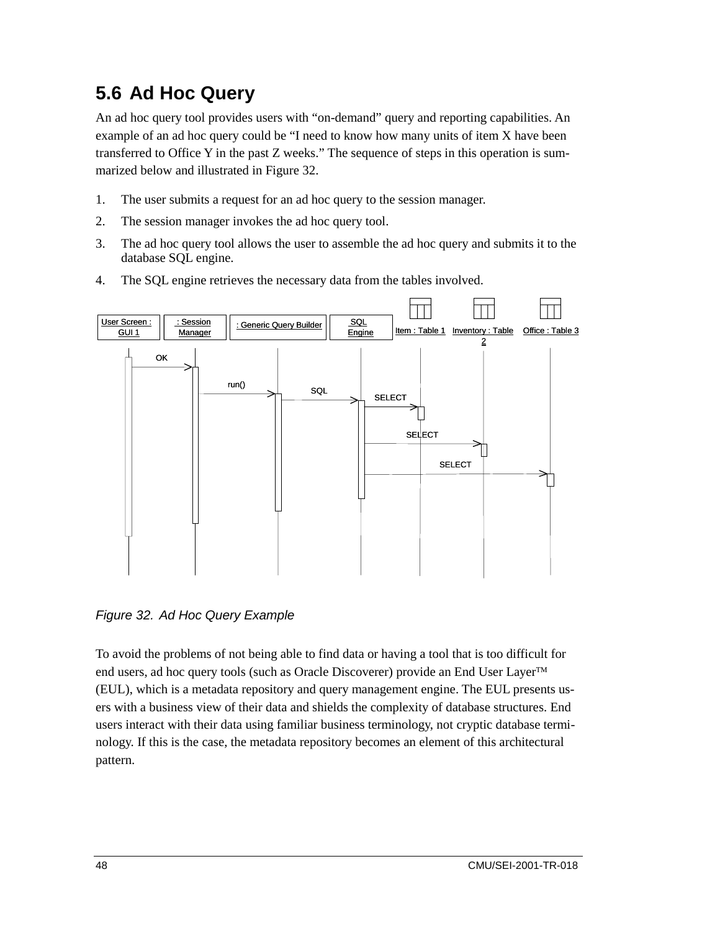## **5.6 Ad Hoc Query**

An ad hoc query tool provides users with "on-demand" query and reporting capabilities. An example of an ad hoc query could be "I need to know how many units of item X have been transferred to Office Y in the past Z weeks." The sequence of steps in this operation is summarized below and illustrated in Figure 32.

- 1. The user submits a request for an ad hoc query to the session manager.
- 2. The session manager invokes the ad hoc query tool.
- 3. The ad hoc query tool allows the user to assemble the ad hoc query and submits it to the database SQL engine.



4. The SQL engine retrieves the necessary data from the tables involved.

*Figure 32. Ad Hoc Query Example* 

To avoid the problems of not being able to find data or having a tool that is too difficult for end users, ad hoc query tools (such as Oracle Discoverer) provide an End User Layer (EUL), which is a metadata repository and query management engine. The EUL presents users with a business view of their data and shields the complexity of database structures. End users interact with their data using familiar business terminology, not cryptic database terminology. If this is the case, the metadata repository becomes an element of this architectural pattern.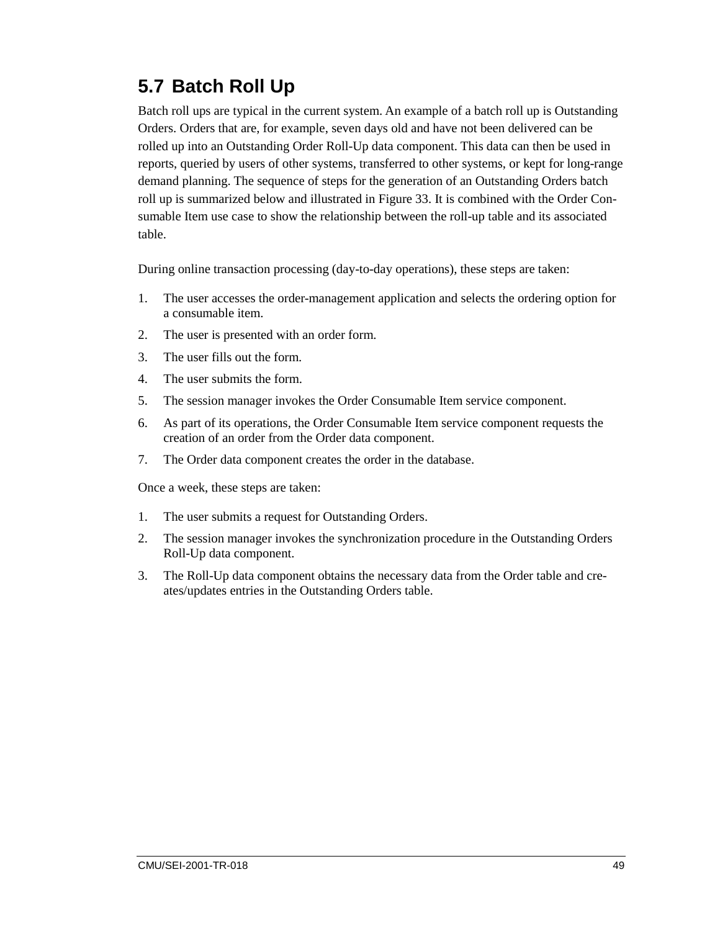## **5.7 Batch Roll Up**

Batch roll ups are typical in the current system. An example of a batch roll up is Outstanding Orders. Orders that are, for example, seven days old and have not been delivered can be rolled up into an Outstanding Order Roll-Up data component. This data can then be used in reports, queried by users of other systems, transferred to other systems, or kept for long-range demand planning. The sequence of steps for the generation of an Outstanding Orders batch roll up is summarized below and illustrated in Figure 33. It is combined with the Order Consumable Item use case to show the relationship between the roll-up table and its associated table.

During online transaction processing (day-to-day operations), these steps are taken:

- 1. The user accesses the order-management application and selects the ordering option for a consumable item.
- 2. The user is presented with an order form.
- 3. The user fills out the form.
- 4. The user submits the form.
- 5. The session manager invokes the Order Consumable Item service component.
- 6. As part of its operations, the Order Consumable Item service component requests the creation of an order from the Order data component.
- 7. The Order data component creates the order in the database.

Once a week, these steps are taken:

- 1. The user submits a request for Outstanding Orders.
- 2. The session manager invokes the synchronization procedure in the Outstanding Orders Roll-Up data component.
- 3. The Roll-Up data component obtains the necessary data from the Order table and creates/updates entries in the Outstanding Orders table.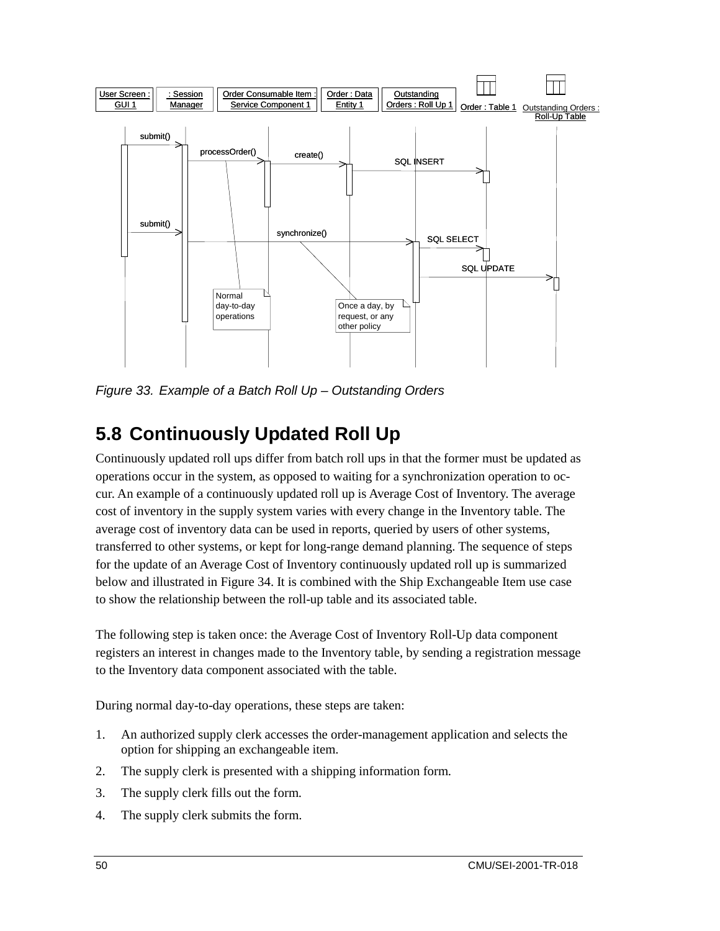

*Figure 33. Example of a Batch Roll Up – Outstanding Orders* 

## **5.8 Continuously Updated Roll Up**

Continuously updated roll ups differ from batch roll ups in that the former must be updated as operations occur in the system, as opposed to waiting for a synchronization operation to occur. An example of a continuously updated roll up is Average Cost of Inventory. The average cost of inventory in the supply system varies with every change in the Inventory table. The average cost of inventory data can be used in reports, queried by users of other systems, transferred to other systems, or kept for long-range demand planning. The sequence of steps for the update of an Average Cost of Inventory continuously updated roll up is summarized below and illustrated in Figure 34. It is combined with the Ship Exchangeable Item use case to show the relationship between the roll-up table and its associated table.

The following step is taken once: the Average Cost of Inventory Roll-Up data component registers an interest in changes made to the Inventory table, by sending a registration message to the Inventory data component associated with the table.

During normal day-to-day operations, these steps are taken:

- 1. An authorized supply clerk accesses the order-management application and selects the option for shipping an exchangeable item.
- 2. The supply clerk is presented with a shipping information form.
- 3. The supply clerk fills out the form.
- 4. The supply clerk submits the form.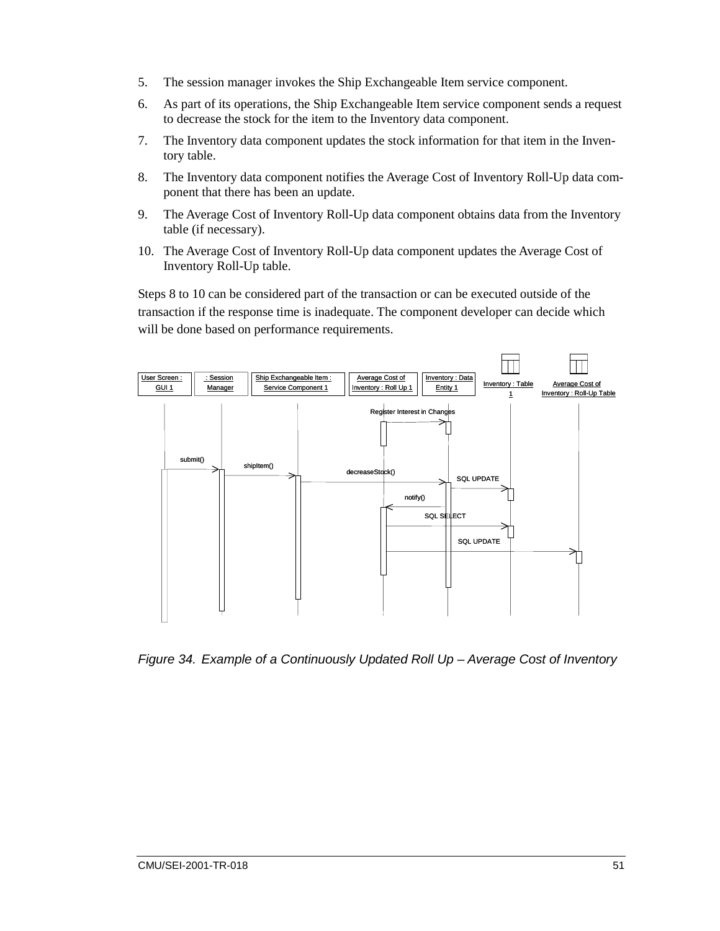- 5. The session manager invokes the Ship Exchangeable Item service component.
- 6. As part of its operations, the Ship Exchangeable Item service component sends a request to decrease the stock for the item to the Inventory data component.
- 7. The Inventory data component updates the stock information for that item in the Inventory table.
- 8. The Inventory data component notifies the Average Cost of Inventory Roll-Up data component that there has been an update.
- 9. The Average Cost of Inventory Roll-Up data component obtains data from the Inventory table (if necessary).
- 10. The Average Cost of Inventory Roll-Up data component updates the Average Cost of Inventory Roll-Up table.

Steps 8 to 10 can be considered part of the transaction or can be executed outside of the transaction if the response time is inadequate. The component developer can decide which will be done based on performance requirements.



*Figure 34. Example of a Continuously Updated Roll Up – Average Cost of Inventory*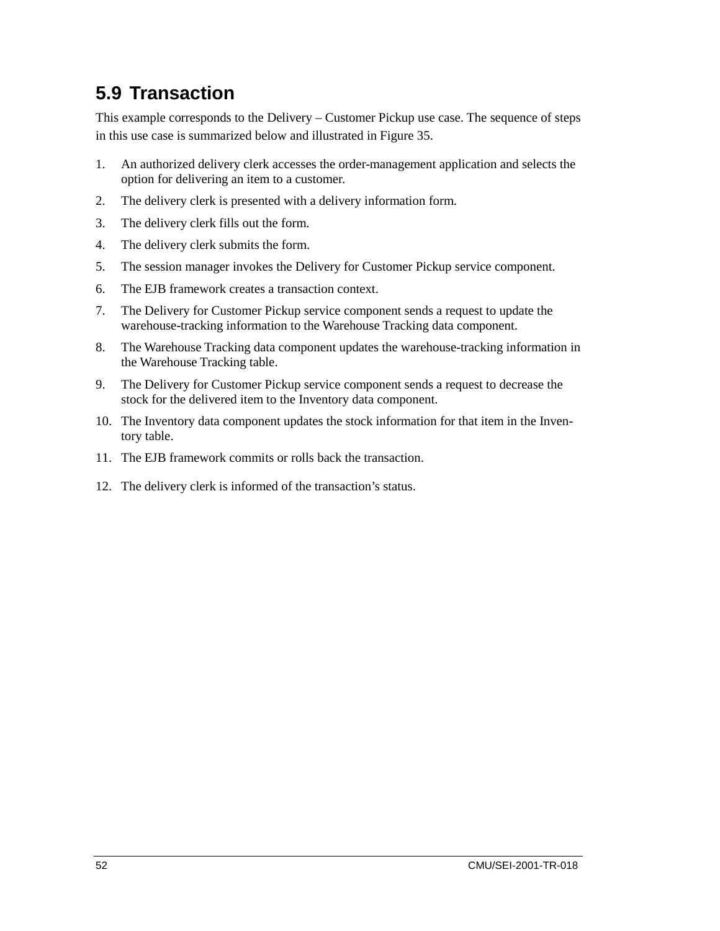## **5.9 Transaction**

This example corresponds to the Delivery – Customer Pickup use case. The sequence of steps in this use case is summarized below and illustrated in Figure 35.

- 1. An authorized delivery clerk accesses the order-management application and selects the option for delivering an item to a customer.
- 2. The delivery clerk is presented with a delivery information form.
- 3. The delivery clerk fills out the form.
- 4. The delivery clerk submits the form.
- 5. The session manager invokes the Delivery for Customer Pickup service component.
- 6. The EJB framework creates a transaction context.
- 7. The Delivery for Customer Pickup service component sends a request to update the warehouse-tracking information to the Warehouse Tracking data component.
- 8. The Warehouse Tracking data component updates the warehouse-tracking information in the Warehouse Tracking table.
- 9. The Delivery for Customer Pickup service component sends a request to decrease the stock for the delivered item to the Inventory data component.
- 10. The Inventory data component updates the stock information for that item in the Inventory table.
- 11. The EJB framework commits or rolls back the transaction.
- 12. The delivery clerk is informed of the transaction's status.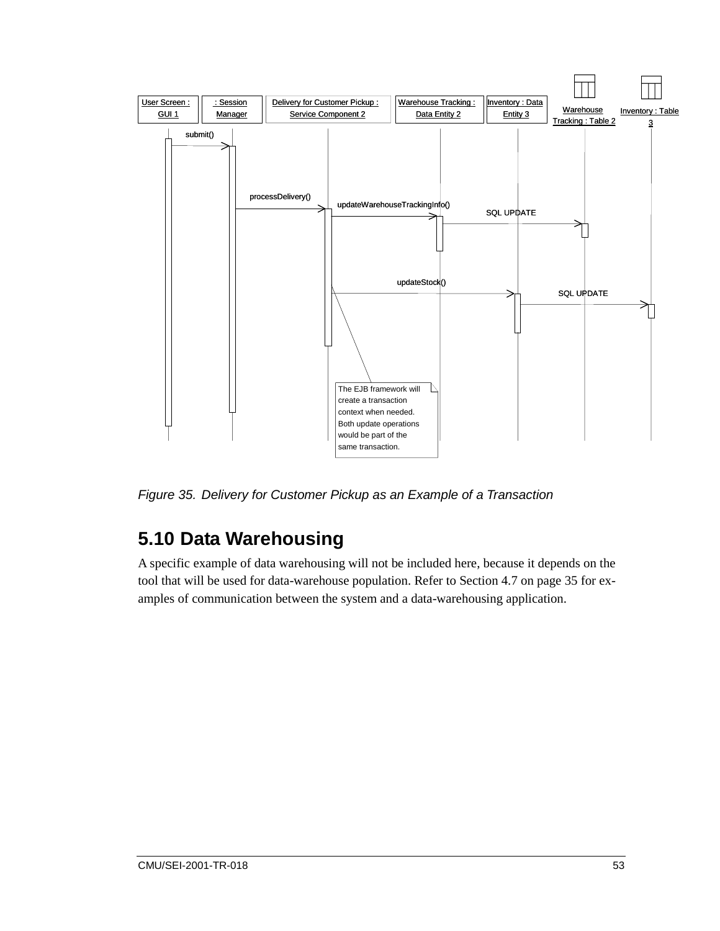

*Figure 35. Delivery for Customer Pickup as an Example of a Transaction* 

## **5.10 Data Warehousing**

A specific example of data warehousing will not be included here, because it depends on the tool that will be used for data-warehouse population. Refer to Section 4.7 on page 35 for examples of communication between the system and a data-warehousing application.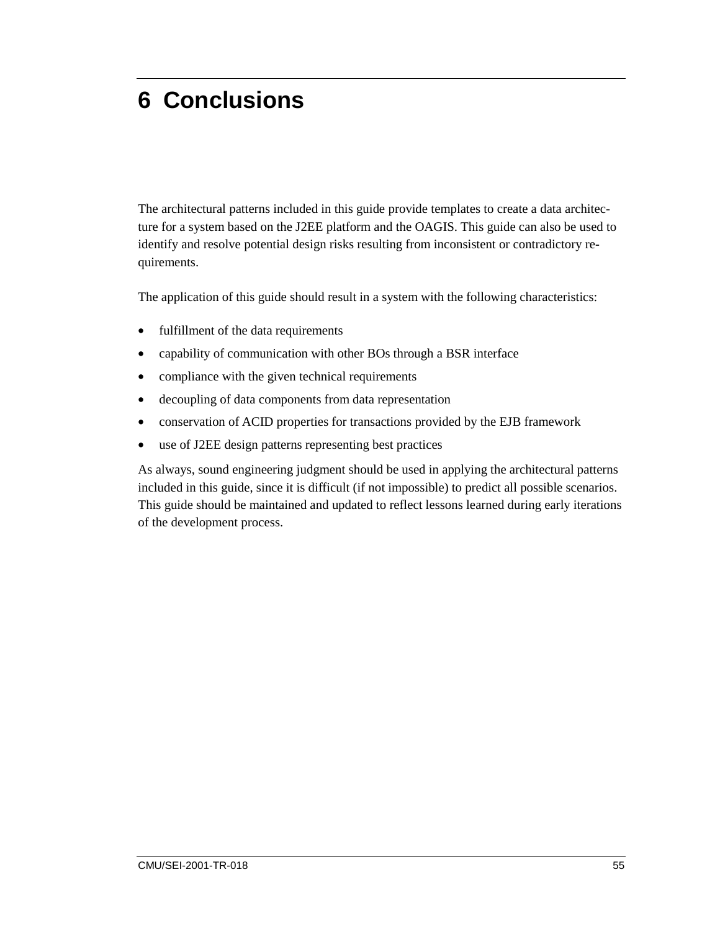# **6 Conclusions**

The architectural patterns included in this guide provide templates to create a data architecture for a system based on the J2EE platform and the OAGIS. This guide can also be used to identify and resolve potential design risks resulting from inconsistent or contradictory requirements.

The application of this guide should result in a system with the following characteristics:

- fulfillment of the data requirements
- capability of communication with other BOs through a BSR interface
- compliance with the given technical requirements
- decoupling of data components from data representation
- conservation of ACID properties for transactions provided by the EJB framework
- use of J2EE design patterns representing best practices

As always, sound engineering judgment should be used in applying the architectural patterns included in this guide, since it is difficult (if not impossible) to predict all possible scenarios. This guide should be maintained and updated to reflect lessons learned during early iterations of the development process.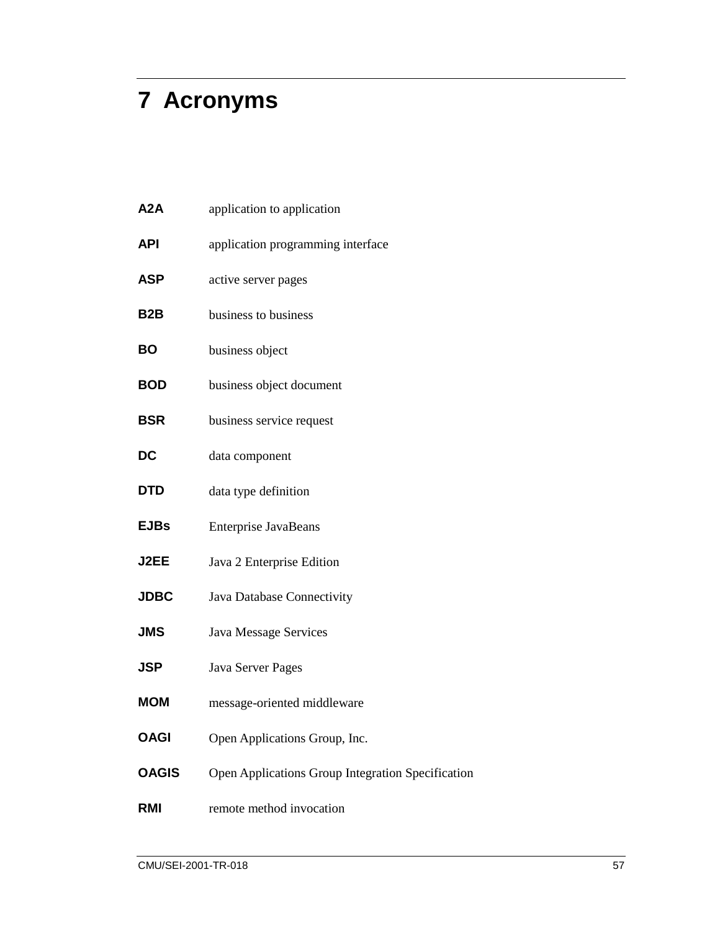# **7 Acronyms**

| A2A              | application to application                        |
|------------------|---------------------------------------------------|
| <b>API</b>       | application programming interface                 |
| <b>ASP</b>       | active server pages                               |
| B <sub>2</sub> B | business to business                              |
| <b>BO</b>        | business object                                   |
| <b>BOD</b>       | business object document                          |
| <b>BSR</b>       | business service request                          |
| <b>DC</b>        | data component                                    |
| <b>DTD</b>       | data type definition                              |
| <b>EJBs</b>      | <b>Enterprise JavaBeans</b>                       |
| <b>J2EE</b>      | Java 2 Enterprise Edition                         |
| <b>JDBC</b>      | Java Database Connectivity                        |
| <b>JMS</b>       | Java Message Services                             |
| <b>JSP</b>       | Java Server Pages                                 |
| <b>MOM</b>       | message-oriented middleware                       |
| <b>OAGI</b>      | Open Applications Group, Inc.                     |
| <b>OAGIS</b>     | Open Applications Group Integration Specification |
| <b>RMI</b>       | remote method invocation                          |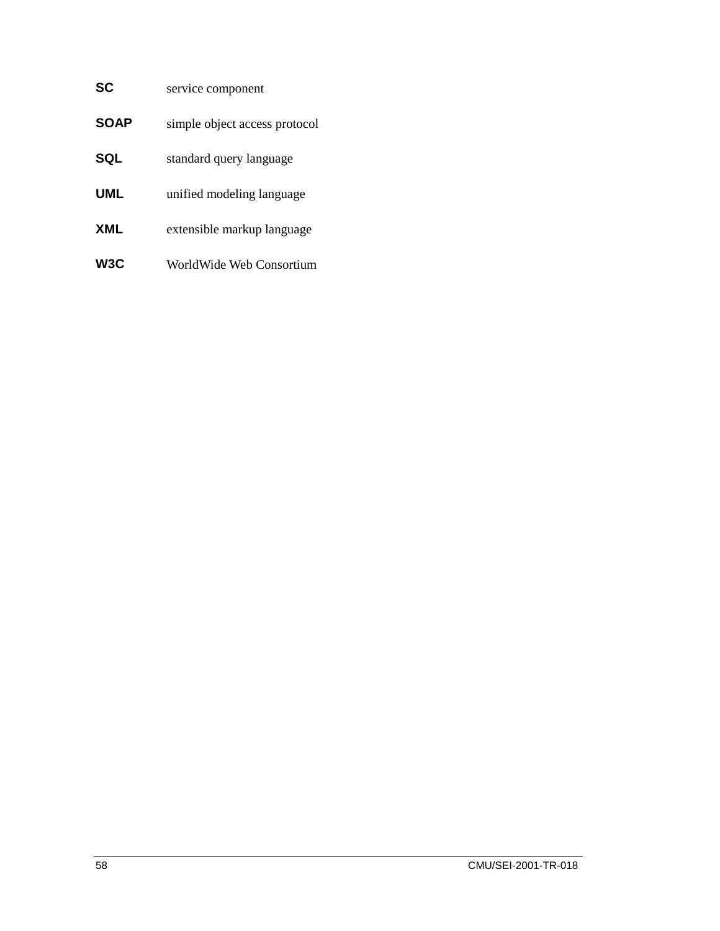| SC.         | service component             |
|-------------|-------------------------------|
| <b>SOAP</b> | simple object access protocol |
| SQL         | standard query language       |
| UML         | unified modeling language     |
| XML         | extensible markup language    |
| W3C         | WorldWide Web Consortium      |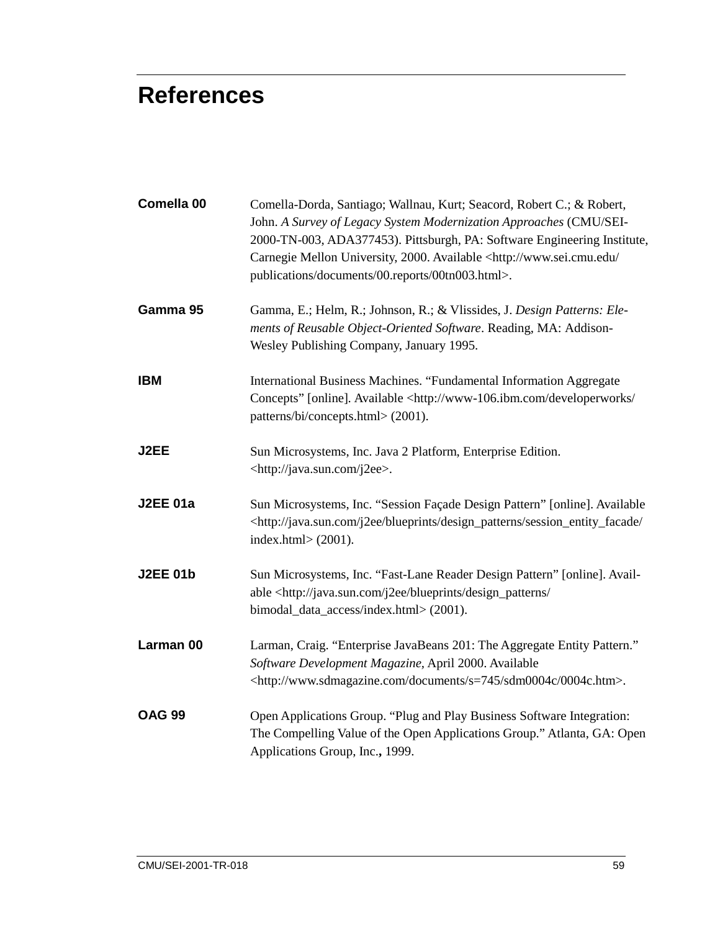# **References**

| Comella <sub>00</sub> | Comella-Dorda, Santiago; Wallnau, Kurt; Seacord, Robert C.; & Robert,<br>John. A Survey of Legacy System Modernization Approaches (CMU/SEI-<br>2000-TN-003, ADA377453). Pittsburgh, PA: Software Engineering Institute,<br>Carnegie Mellon University, 2000. Available <http: <br="" www.sei.cmu.edu="">publications/documents/00.reports/00tn003.html&gt;.</http:> |
|-----------------------|---------------------------------------------------------------------------------------------------------------------------------------------------------------------------------------------------------------------------------------------------------------------------------------------------------------------------------------------------------------------|
| Gamma 95              | Gamma, E.; Helm, R.; Johnson, R.; & Vlissides, J. Design Patterns: Ele-<br>ments of Reusable Object-Oriented Software. Reading, MA: Addison-<br>Wesley Publishing Company, January 1995.                                                                                                                                                                            |
| <b>IBM</b>            | International Business Machines. "Fundamental Information Aggregate<br>Concepts" [online]. Available <http: <br="" developerworks="" www-106.ibm.com="">patterns/bi/concepts.html&gt; (2001).</http:>                                                                                                                                                               |
| J2EE                  | Sun Microsystems, Inc. Java 2 Platform, Enterprise Edition.<br><http: j2ee="" java.sun.com="">.</http:>                                                                                                                                                                                                                                                             |
| <b>J2EE 01a</b>       | Sun Microsystems, Inc. "Session Façade Design Pattern" [online]. Available<br><http: <br="" blueprints="" design_patterns="" j2ee="" java.sun.com="" session_entity_facade="">index.html&gt;<math>(2001)</math>.</http:>                                                                                                                                            |
| <b>J2EE 01b</b>       | Sun Microsystems, Inc. "Fast-Lane Reader Design Pattern" [online]. Avail-<br>able <http: <br="" blueprints="" design_patterns="" j2ee="" java.sun.com="">bimodal_data_access/index.html&gt; (2001).</http:>                                                                                                                                                         |
| Larman 00             | Larman, Craig. "Enterprise JavaBeans 201: The Aggregate Entity Pattern."<br>Software Development Magazine, April 2000. Available<br><http: documents="" s="745/sdm0004c/0004c.htm" www.sdmagazine.com="">.</http:>                                                                                                                                                  |
| <b>OAG 99</b>         | Open Applications Group. "Plug and Play Business Software Integration:<br>The Compelling Value of the Open Applications Group." Atlanta, GA: Open<br>Applications Group, Inc., 1999.                                                                                                                                                                                |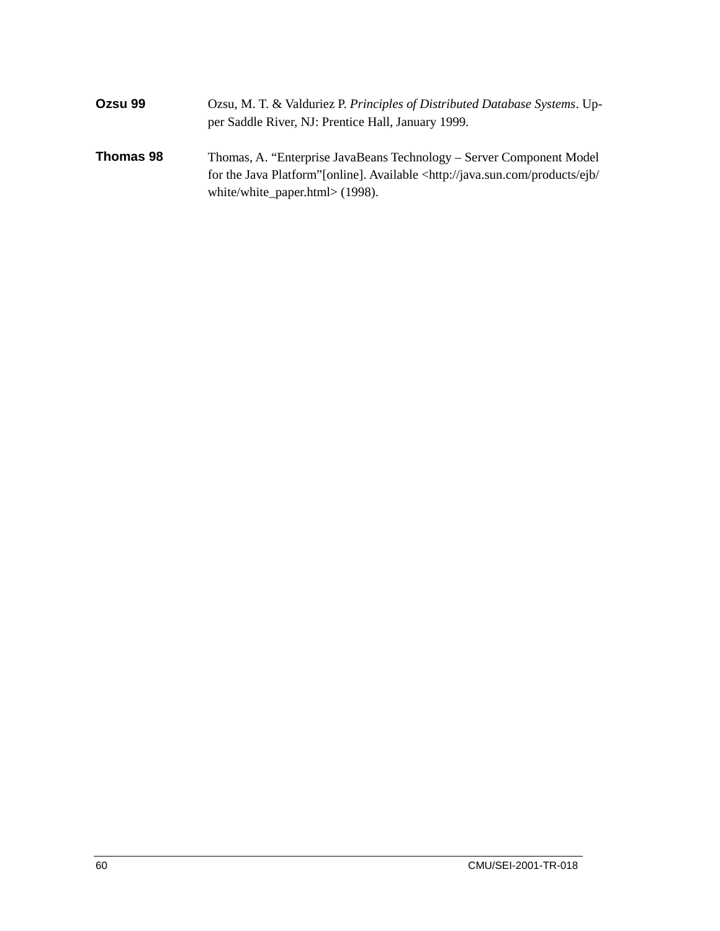| Ozsu 99   | Ozsu, M. T. & Valduriez P. Principles of Distributed Database Systems. Up-<br>per Saddle River, NJ: Prentice Hall, January 1999.                                                 |
|-----------|----------------------------------------------------------------------------------------------------------------------------------------------------------------------------------|
| Thomas 98 | Thomas, A. "Enterprise JavaBeans Technology – Server Component Model<br>for the Java Platform" [online]. Available <http: <="" ejb="" java.sun.com="" products="" td=""></http:> |
|           | white/white_paper.html> (1998).                                                                                                                                                  |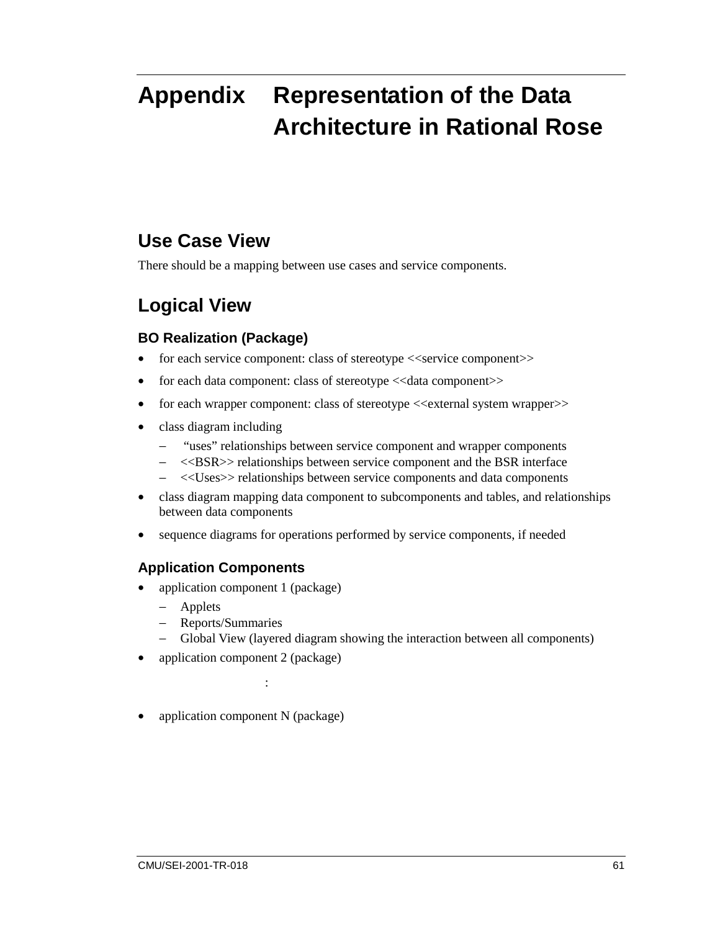# **Appendix Representation of the Data Architecture in Rational Rose**

## **Use Case View**

There should be a mapping between use cases and service components.

## **Logical View**

#### **BO Realization (Package)**

- for each service component: class of stereotype <<service component>>
- for each data component: class of stereotype <<data component>>
- for each wrapper component: class of stereotype <<external system wrapper>>
- class diagram including
	- − "uses" relationships between service component and wrapper components
	- − <<BSR>> relationships between service component and the BSR interface
	- − <<Uses>> relationships between service components and data components
- class diagram mapping data component to subcomponents and tables, and relationships between data components
- sequence diagrams for operations performed by service components, if needed

#### **Application Components**

- application component 1 (package)
	- − Applets
	- − Reports/Summaries

**Service State State State** 

- Global View (layered diagram showing the interaction between all components)
- application component 2 (package)
- application component N (package)